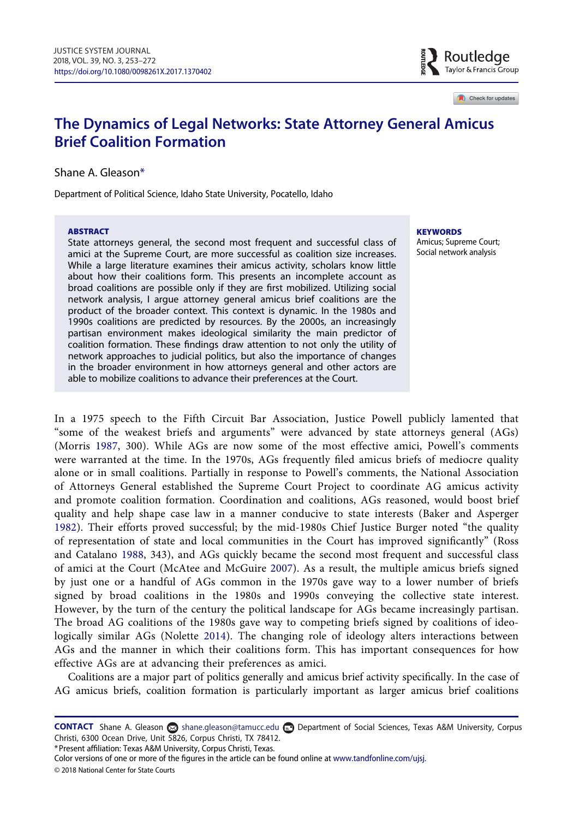

Check for updates

# The Dynamics of Legal Networks: State Attorney General Amicus Brief Coalition Formation

Shane A. Gleaso[n\\*](#page-0-0)

Department of Political Science, Idaho State University, Pocatello, Idaho

#### ABSTRACT

State attorneys general, the second most frequent and successful class of amici at the Supreme Court, are more successful as coalition size increases. While a large literature examines their amicus activity, scholars know little about how their coalitions form. This presents an incomplete account as broad coalitions are possible only if they are first mobilized. Utilizing social network analysis, I argue attorney general amicus brief coalitions are the product of the broader context. This context is dynamic. In the 1980s and 1990s coalitions are predicted by resources. By the 2000s, an increasingly partisan environment makes ideological similarity the main predictor of coalition formation. These findings draw attention to not only the utility of network approaches to judicial politics, but also the importance of changes in the broader environment in how attorneys general and other actors are able to mobilize coalitions to advance their preferences at the Court.

**KEYWORDS** 

Amicus; Supreme Court; Social network analysis

<span id="page-0-3"></span><span id="page-0-1"></span>In a 1975 speech to the Fifth Circuit Bar Association, Justice Powell publicly lamented that "some of the weakest briefs and arguments" were advanced by state attorneys general (AGs) (Morris [1987,](#page-19-0) 300). While AGs are now some of the most effective amici, Powell's comments were warranted at the time. In the 1970s, AGs frequently filed amicus briefs of mediocre quality alone or in small coalitions. Partially in response to Powell's comments, the National Association of Attorneys General established the Supreme Court Project to coordinate AG amicus activity and promote coalition formation. Coordination and coalitions, AGs reasoned, would boost brief quality and help shape case law in a manner conducive to state interests (Baker and Asperger [1982](#page-17-0)). Their efforts proved successful; by the mid-1980s Chief Justice Burger noted "the quality of representation of state and local communities in the Court has improved significantly" (Ross and Catalano [1988](#page-19-1), 343), and AGs quickly became the second most frequent and successful class of amici at the Court (McAtee and McGuire [2007](#page-18-0)). As a result, the multiple amicus briefs signed by just one or a handful of AGs common in the 1970s gave way to a lower number of briefs signed by broad coalitions in the 1980s and 1990s conveying the collective state interest. However, by the turn of the century the political landscape for AGs became increasingly partisan. The broad AG coalitions of the 1980s gave way to competing briefs signed by coalitions of ideologically similar AGs (Nolette [2014\)](#page-19-2). The changing role of ideology alters interactions between AGs and the manner in which their coalitions form. This has important consequences for how effective AGs are at advancing their preferences as amici.

<span id="page-0-5"></span><span id="page-0-4"></span><span id="page-0-2"></span>Coalitions are a major part of politics generally and amicus brief activity specifically. In the case of AG amicus briefs, coalition formation is particularly important as larger amicus brief coalitions

<span id="page-0-0"></span>\*Present affiliation: Texas A&M University, Corpus Christi, Texas.

© 2018 National Center for State Courts

CONTACT Shane A. Gleason so [shane.gleason@t](mailto:gleashan@isu.edu)amucc.edu **D**epartment of Social Sciences, Texas A&M University, Corpus Christi, 6300 Ocean Drive, Unit 5826, Corpus Christi, TX 78412.

Color versions of one or more of the figures in the article can be found online at [www.tandfonline.com/ujsj.](http://www.tandfonline.com/ujsj)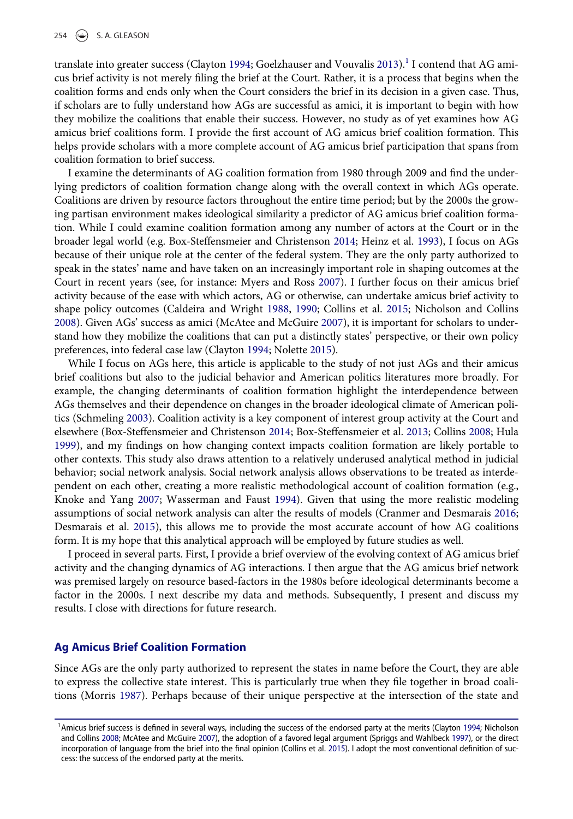<span id="page-1-6"></span>translate into greater success (Clayton [1994](#page-18-1); Goelzhauser and Vouvalis [2013\)](#page-18-2).<sup>[1](#page-1-0)</sup> I contend that AG amicus brief activity is not merely filing the brief at the Court. Rather, it is a process that begins when the coalition forms and ends only when the Court considers the brief in its decision in a given case. Thus, if scholars are to fully understand how AGs are successful as amici, it is important to begin with how they mobilize the coalitions that enable their success. However, no study as of yet examines how AG amicus brief coalitions form. I provide the first account of AG amicus brief coalition formation. This helps provide scholars with a more complete account of AG amicus brief participation that spans from coalition formation to brief success.

<span id="page-1-7"></span>I examine the determinants of AG coalition formation from 1980 through 2009 and find the underlying predictors of coalition formation change along with the overall context in which AGs operate. Coalitions are driven by resource factors throughout the entire time period; but by the 2000s the growing partisan environment makes ideological similarity a predictor of AG amicus brief coalition formation. While I could examine coalition formation among any number of actors at the Court or in the broader legal world (e.g. Box-Steffensmeier and Christenson [2014;](#page-17-1) Heinz et al. [1993](#page-18-3)), I focus on AGs because of their unique role at the center of the federal system. They are the only party authorized to speak in the states' name and have taken on an increasingly important role in shaping outcomes at the Court in recent years (see, for instance: Myers and Ross [2007](#page-19-3)). I further focus on their amicus brief activity because of the ease with which actors, AG or otherwise, can undertake amicus brief activity to shape policy outcomes (Caldeira and Wright [1988](#page-18-4), [1990;](#page-18-5) Collins et al. [2015](#page-18-6); Nicholson and Collins [2008\)](#page-19-4). Given AGs' success as amici (McAtee and McGuire [2007\)](#page-18-0), it is important for scholars to understand how they mobilize the coalitions that can put a distinctly states' perspective, or their own policy preferences, into federal case law (Clayton [1994](#page-18-1); Nolette [2015\)](#page-19-5).

<span id="page-1-12"></span><span id="page-1-11"></span><span id="page-1-9"></span><span id="page-1-2"></span><span id="page-1-1"></span>While I focus on AGs here, this article is applicable to the study of not just AGs and their amicus brief coalitions but also to the judicial behavior and American politics literatures more broadly. For example, the changing determinants of coalition formation highlight the interdependence between AGs themselves and their dependence on changes in the broader ideological climate of American politics (Schmeling [2003](#page-19-6)). Coalition activity is a key component of interest group activity at the Court and elsewhere (Box-Steffensmeier and Christenson [2014;](#page-17-1) Box-Steffensmeier et al. [2013;](#page-18-7) Collins [2008;](#page-18-8) Hula [1999\)](#page-18-9), and my findings on how changing context impacts coalition formation are likely portable to other contexts. This study also draws attention to a relatively underused analytical method in judicial behavior; social network analysis. Social network analysis allows observations to be treated as interdependent on each other, creating a more realistic methodological account of coalition formation (e.g., Knoke and Yang [2007](#page-18-10); Wasserman and Faust [1994\)](#page-19-7). Given that using the more realistic modeling assumptions of social network analysis can alter the results of models (Cranmer and Desmarais [2016;](#page-18-11) Desmarais et al. [2015\)](#page-18-12), this allows me to provide the most accurate account of how AG coalitions form. It is my hope that this analytical approach will be employed by future studies as well.

<span id="page-1-8"></span><span id="page-1-5"></span><span id="page-1-4"></span>I proceed in several parts. First, I provide a brief overview of the evolving context of AG amicus brief activity and the changing dynamics of AG interactions. I then argue that the AG amicus brief network was premised largely on resource based-factors in the 1980s before ideological determinants become a factor in the 2000s. I next describe my data and methods. Subsequently, I present and discuss my results. I close with directions for future research.

### Ag Amicus Brief Coalition Formation

Since AGs are the only party authorized to represent the states in name before the Court, they are able to express the collective state interest. This is particularly true when they file together in broad coalitions (Morris [1987](#page-19-0)). Perhaps because of their unique perspective at the intersection of the state and

<span id="page-1-10"></span><span id="page-1-3"></span><span id="page-1-0"></span><sup>&</sup>lt;sup>1</sup> Amicus brief success is defined in several ways, including the success of the endorsed party at the merits (Clayton [1994](#page-18-1); Nicholson and Collins [2008](#page-19-4); McAtee and McGuire [2007](#page-18-0)), the adoption of a favored legal argument (Spriggs and Wahlbeck [1997](#page-19-8)), or the direct incorporation of language from the brief into the final opinion (Collins et al. [2015\)](#page-18-6). I adopt the most conventional definition of success: the success of the endorsed party at the merits.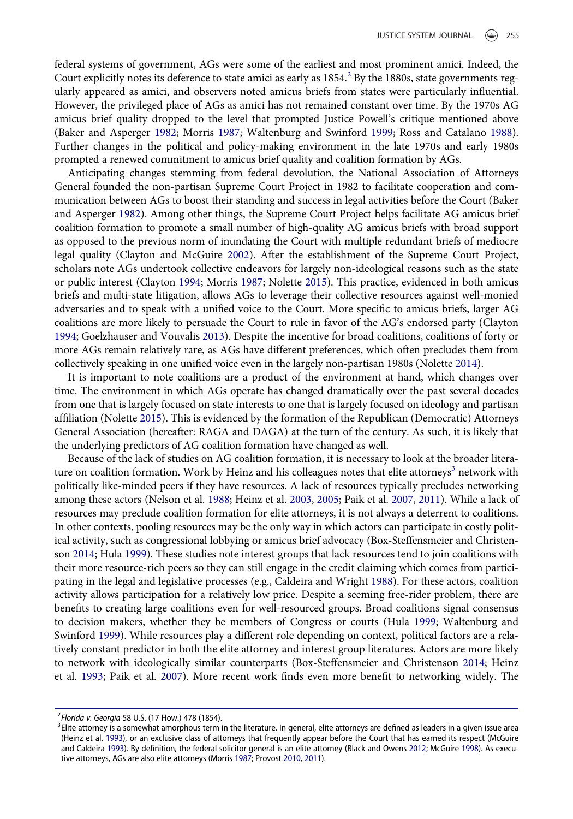federal systems of government, AGs were some of the earliest and most prominent amici. Indeed, the Court explicitly notes its deference to state amici as early as 1854.<sup>[2](#page-2-0)</sup> By the 1880s, state governments regularly appeared as amici, and observers noted amicus briefs from states were particularly influential. However, the privileged place of AGs as amici has not remained constant over time. By the 1970s AG amicus brief quality dropped to the level that prompted Justice Powell's critique mentioned above (Baker and Asperger [1982](#page-17-0); Morris [1987](#page-19-0); Waltenburg and Swinford [1999;](#page-19-9) Ross and Catalano [1988](#page-19-1)). Further changes in the political and policy-making environment in the late 1970s and early 1980s prompted a renewed commitment to amicus brief quality and coalition formation by AGs.

<span id="page-2-3"></span>Anticipating changes stemming from federal devolution, the National Association of Attorneys General founded the non-partisan Supreme Court Project in 1982 to facilitate cooperation and communication between AGs to boost their standing and success in legal activities before the Court (Baker and Asperger [1982\)](#page-17-0). Among other things, the Supreme Court Project helps facilitate AG amicus brief coalition formation to promote a small number of high-quality AG amicus briefs with broad support as opposed to the previous norm of inundating the Court with multiple redundant briefs of mediocre legal quality (Clayton and McGuire [2002](#page-18-13)). After the establishment of the Supreme Court Project, scholars note AGs undertook collective endeavors for largely non-ideological reasons such as the state or public interest (Clayton [1994;](#page-18-1) Morris [1987](#page-19-0); Nolette [2015\)](#page-19-5). This practice, evidenced in both amicus briefs and multi-state litigation, allows AGs to leverage their collective resources against well-monied adversaries and to speak with a unified voice to the Court. More specific to amicus briefs, larger AG coalitions are more likely to persuade the Court to rule in favor of the AG's endorsed party (Clayton [1994;](#page-18-1) Goelzhauser and Vouvalis [2013](#page-18-2)). Despite the incentive for broad coalitions, coalitions of forty or more AGs remain relatively rare, as AGs have different preferences, which often precludes them from collectively speaking in one unified voice even in the largely non-partisan 1980s (Nolette [2014\)](#page-19-2).

It is important to note coalitions are a product of the environment at hand, which changes over time. The environment in which AGs operate has changed dramatically over the past several decades from one that is largely focused on state interests to one that is largely focused on ideology and partisan affiliation (Nolette [2015](#page-19-5)). This is evidenced by the formation of the Republican (Democratic) Attorneys General Association (hereafter: RAGA and DAGA) at the turn of the century. As such, it is likely that the underlying predictors of AG coalition formation have changed as well.

<span id="page-2-4"></span>Because of the lack of studies on AG coalition formation, it is necessary to look at the broader litera-ture on coalition formation. Work by Heinz and his colleagues notes that elite attorneys<sup>[3](#page-2-1)</sup> network with politically like-minded peers if they have resources. A lack of resources typically precludes networking among these actors (Nelson et al. [1988](#page-19-10); Heinz et al. [2003](#page-18-14), [2005;](#page-18-15) Paik et al. [2007,](#page-19-11) [2011](#page-19-12)). While a lack of resources may preclude coalition formation for elite attorneys, it is not always a deterrent to coalitions. In other contexts, pooling resources may be the only way in which actors can participate in costly political activity, such as congressional lobbying or amicus brief advocacy (Box-Steffensmeier and Christenson [2014](#page-17-1); Hula [1999\)](#page-18-9). These studies note interest groups that lack resources tend to join coalitions with their more resource-rich peers so they can still engage in the credit claiming which comes from participating in the legal and legislative processes (e.g., Caldeira and Wright [1988\)](#page-18-4). For these actors, coalition activity allows participation for a relatively low price. Despite a seeming free-rider problem, there are benefits to creating large coalitions even for well-resourced groups. Broad coalitions signal consensus to decision makers, whether they be members of Congress or courts (Hula [1999](#page-18-9); Waltenburg and Swinford [1999\)](#page-19-9). While resources play a different role depending on context, political factors are a relatively constant predictor in both the elite attorney and interest group literatures. Actors are more likely to network with ideologically similar counterparts (Box-Steffensmeier and Christenson [2014](#page-17-1); Heinz et al. [1993;](#page-18-3) Paik et al. [2007](#page-19-11)). More recent work finds even more benefit to networking widely. The

<span id="page-2-7"></span><span id="page-2-5"></span><span id="page-2-0"></span><sup>&</sup>lt;sup>2</sup> Florida v. Georgia 58 U.S. (17 How.) 478 (1854).<br><sup>3</sup> Flite atterney is a semewhat americhaus term

<span id="page-2-6"></span><span id="page-2-2"></span><span id="page-2-1"></span><sup>&</sup>lt;sup>3</sup>Elite attorney is a somewhat amorphous term in the literature. In general, elite attorneys are defined as leaders in a given issue area (Heinz et al. [1993](#page-18-3)), or an exclusive class of attorneys that frequently appear before the Court that has earned its respect (McGuire and Caldeira [1993](#page-19-13)). By definition, the federal solicitor general is an elite attorney (Black and Owens [2012;](#page-17-2) McGuire [1998\)](#page-19-14). As executive attorneys, AGs are also elite attorneys (Morris [1987](#page-19-0); Provost [2010](#page-19-15), [2011\)](#page-19-16).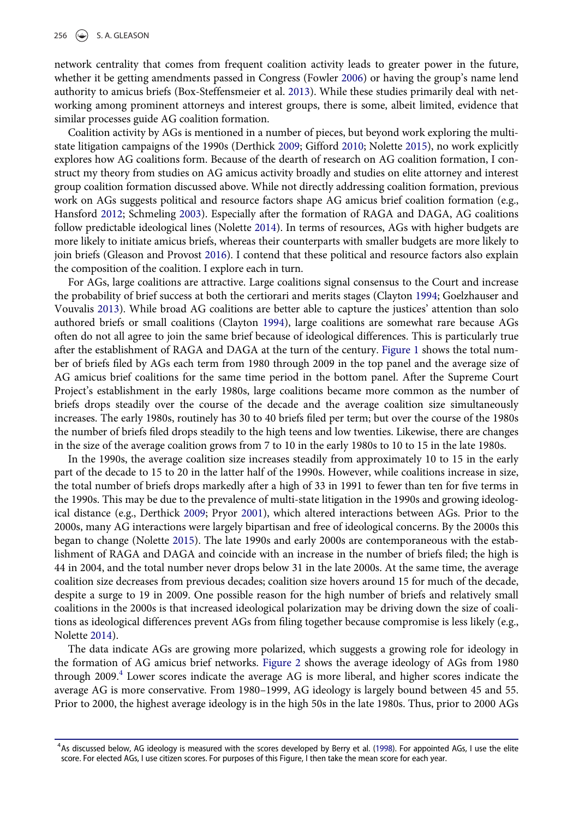<span id="page-3-2"></span>network centrality that comes from frequent coalition activity leads to greater power in the future, whether it be getting amendments passed in Congress (Fowler [2006](#page-18-16)) or having the group's name lend authority to amicus briefs (Box-Steffensmeier et al. [2013\)](#page-18-7). While these studies primarily deal with networking among prominent attorneys and interest groups, there is some, albeit limited, evidence that similar processes guide AG coalition formation.

<span id="page-3-3"></span>Coalition activity by AGs is mentioned in a number of pieces, but beyond work exploring the multistate litigation campaigns of the 1990s (Derthick [2009;](#page-18-17) Gifford [2010;](#page-18-18) Nolette [2015\)](#page-19-5), no work explicitly explores how AG coalitions form. Because of the dearth of research on AG coalition formation, I construct my theory from studies on AG amicus activity broadly and studies on elite attorney and interest group coalition formation discussed above. While not directly addressing coalition formation, previous work on AGs suggests political and resource factors shape AG amicus brief coalition formation (e.g., Hansford [2012;](#page-18-19) Schmeling [2003\)](#page-19-6). Especially after the formation of RAGA and DAGA, AG coalitions follow predictable ideological lines (Nolette [2014](#page-19-2)). In terms of resources, AGs with higher budgets are more likely to initiate amicus briefs, whereas their counterparts with smaller budgets are more likely to join briefs (Gleason and Provost [2016](#page-18-20)). I contend that these political and resource factors also explain the composition of the coalition. I explore each in turn.

<span id="page-3-5"></span><span id="page-3-4"></span>For AGs, large coalitions are attractive. Large coalitions signal consensus to the Court and increase the probability of brief success at both the certiorari and merits stages (Clayton [1994;](#page-18-1) Goelzhauser and Vouvalis [2013\)](#page-18-2). While broad AG coalitions are better able to capture the justices' attention than solo authored briefs or small coalitions (Clayton [1994](#page-18-1)), large coalitions are somewhat rare because AGs often do not all agree to join the same brief because of ideological differences. This is particularly true after the establishment of RAGA and DAGA at the turn of the century. [Figure 1](#page-4-0) shows the total number of briefs filed by AGs each term from 1980 through 2009 in the top panel and the average size of AG amicus brief coalitions for the same time period in the bottom panel. After the Supreme Court Project's establishment in the early 1980s, large coalitions became more common as the number of briefs drops steadily over the course of the decade and the average coalition size simultaneously increases. The early 1980s, routinely has 30 to 40 briefs filed per term; but over the course of the 1980s the number of briefs filed drops steadily to the high teens and low twenties. Likewise, there are changes in the size of the average coalition grows from 7 to 10 in the early 1980s to 10 to 15 in the late 1980s.

<span id="page-3-1"></span>In the 1990s, the average coalition size increases steadily from approximately 10 to 15 in the early part of the decade to 15 to 20 in the latter half of the 1990s. However, while coalitions increase in size, the total number of briefs drops markedly after a high of 33 in 1991 to fewer than ten for five terms in the 1990s. This may be due to the prevalence of multi-state litigation in the 1990s and growing ideological distance (e.g., Derthick [2009;](#page-18-17) Pryor [2001](#page-19-17)), which altered interactions between AGs. Prior to the 2000s, many AG interactions were largely bipartisan and free of ideological concerns. By the 2000s this began to change (Nolette [2015\)](#page-19-5). The late 1990s and early 2000s are contemporaneous with the establishment of RAGA and DAGA and coincide with an increase in the number of briefs filed; the high is 44 in 2004, and the total number never drops below 31 in the late 2000s. At the same time, the average coalition size decreases from previous decades; coalition size hovers around 15 for much of the decade, despite a surge to 19 in 2009. One possible reason for the high number of briefs and relatively small coalitions in the 2000s is that increased ideological polarization may be driving down the size of coalitions as ideological differences prevent AGs from filing together because compromise is less likely (e.g., Nolette [2014\)](#page-19-2).

The data indicate AGs are growing more polarized, which suggests a growing role for ideology in the formation of AG amicus brief networks. [Figure 2](#page-4-1) shows the average ideology of AGs from 1980 through 2009.[4](#page-3-0) Lower scores indicate the average AG is more liberal, and higher scores indicate the average AG is more conservative. From 1980–1999, AG ideology is largely bound between 45 and 55. Prior to 2000, the highest average ideology is in the high 50s in the late 1980s. Thus, prior to 2000 AGs

<span id="page-3-0"></span><sup>4</sup> As discussed below, AG ideology is measured with the scores developed by Berry et al. [\(1998](#page-17-3)). For appointed AGs, I use the elite score. For elected AGs, I use citizen scores. For purposes of this Figure, I then take the mean score for each year.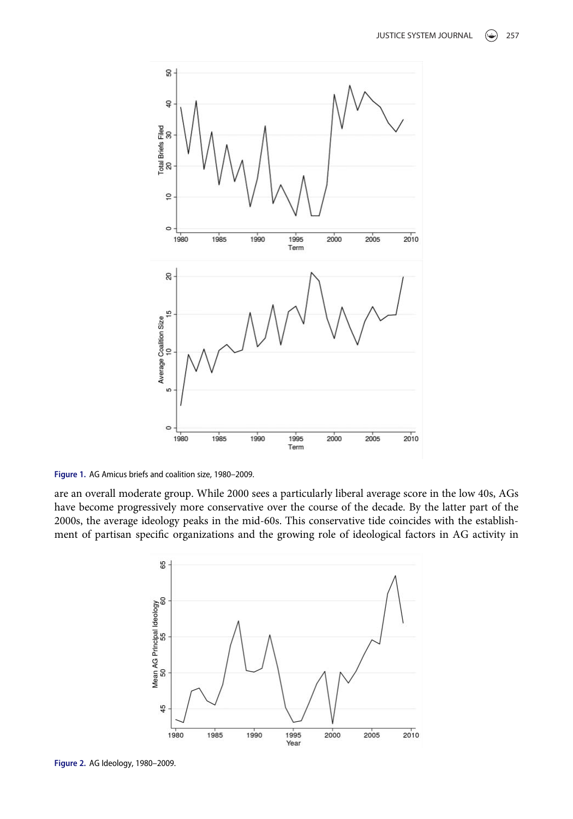<span id="page-4-0"></span>

Figure 1. AG Amicus briefs and coalition size, 1980–2009.

<span id="page-4-1"></span>are an overall moderate group. While 2000 sees a particularly liberal average score in the low 40s, AGs have become progressively more conservative over the course of the decade. By the latter part of the 2000s, the average ideology peaks in the mid-60s. This conservative tide coincides with the establishment of partisan specific organizations and the growing role of ideological factors in AG activity in



Figure 2. AG Ideology, 1980–2009.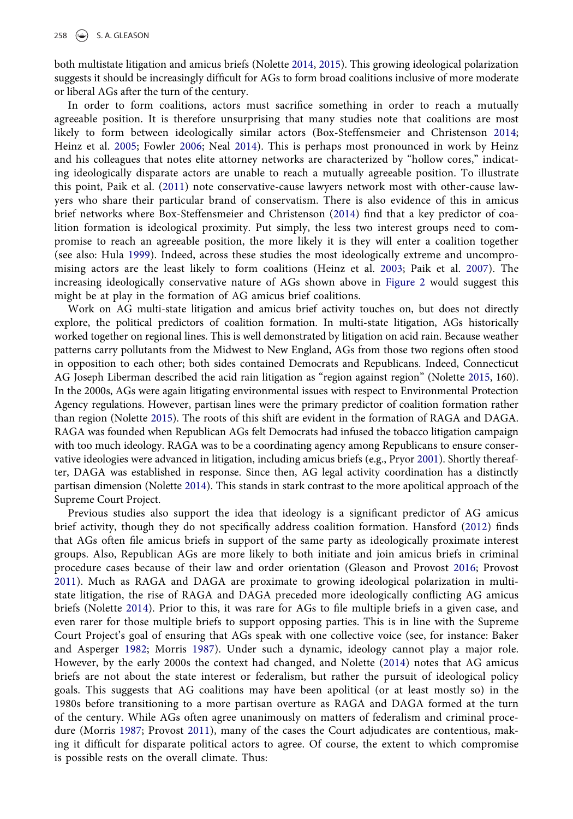both multistate litigation and amicus briefs (Nolette [2014,](#page-19-2) [2015\)](#page-19-5). This growing ideological polarization suggests it should be increasingly difficult for AGs to form broad coalitions inclusive of more moderate or liberal AGs after the turn of the century.

<span id="page-5-0"></span>In order to form coalitions, actors must sacrifice something in order to reach a mutually agreeable position. It is therefore unsurprising that many studies note that coalitions are most likely to form between ideologically similar actors (Box-Steffensmeier and Christenson [2014;](#page-17-1) Heinz et al. [2005](#page-18-15); Fowler [2006;](#page-18-16) Neal [2014](#page-19-18)). This is perhaps most pronounced in work by Heinz and his colleagues that notes elite attorney networks are characterized by "hollow cores," indicating ideologically disparate actors are unable to reach a mutually agreeable position. To illustrate this point, Paik et al. ([2011\)](#page-19-12) note conservative-cause lawyers network most with other-cause lawyers who share their particular brand of conservatism. There is also evidence of this in amicus brief networks where Box-Steffensmeier and Christenson [\(2014\)](#page-17-1) find that a key predictor of coalition formation is ideological proximity. Put simply, the less two interest groups need to compromise to reach an agreeable position, the more likely it is they will enter a coalition together (see also: Hula [1999](#page-18-9)). Indeed, across these studies the most ideologically extreme and uncompromising actors are the least likely to form coalitions (Heinz et al. [2003](#page-18-14); Paik et al. [2007\)](#page-19-11). The increasing ideologically conservative nature of AGs shown above in [Figure 2](#page-4-1) would suggest this might be at play in the formation of AG amicus brief coalitions.

Work on AG multi-state litigation and amicus brief activity touches on, but does not directly explore, the political predictors of coalition formation. In multi-state litigation, AGs historically worked together on regional lines. This is well demonstrated by litigation on acid rain. Because weather patterns carry pollutants from the Midwest to New England, AGs from those two regions often stood in opposition to each other; both sides contained Democrats and Republicans. Indeed, Connecticut AG Joseph Liberman described the acid rain litigation as "region against region" (Nolette [2015,](#page-19-5) 160). In the 2000s, AGs were again litigating environmental issues with respect to Environmental Protection Agency regulations. However, partisan lines were the primary predictor of coalition formation rather than region (Nolette [2015\)](#page-19-5). The roots of this shift are evident in the formation of RAGA and DAGA. RAGA was founded when Republican AGs felt Democrats had infused the tobacco litigation campaign with too much ideology. RAGA was to be a coordinating agency among Republicans to ensure conservative ideologies were advanced in litigation, including amicus briefs (e.g., Pryor [2001](#page-19-17)). Shortly thereafter, DAGA was established in response. Since then, AG legal activity coordination has a distinctly partisan dimension (Nolette [2014\)](#page-19-2). This stands in stark contrast to the more apolitical approach of the Supreme Court Project.

Previous studies also support the idea that ideology is a significant predictor of AG amicus brief activity, though they do not specifically address coalition formation. Hansford [\(2012\)](#page-18-19) finds that AGs often file amicus briefs in support of the same party as ideologically proximate interest groups. Also, Republican AGs are more likely to both initiate and join amicus briefs in criminal procedure cases because of their law and order orientation (Gleason and Provost [2016](#page-18-20); Provost [2011](#page-19-16)). Much as RAGA and DAGA are proximate to growing ideological polarization in multistate litigation, the rise of RAGA and DAGA preceded more ideologically conflicting AG amicus briefs (Nolette [2014\)](#page-19-2). Prior to this, it was rare for AGs to file multiple briefs in a given case, and even rarer for those multiple briefs to support opposing parties. This is in line with the Supreme Court Project's goal of ensuring that AGs speak with one collective voice (see, for instance: Baker and Asperger [1982](#page-17-0); Morris [1987\)](#page-19-0). Under such a dynamic, ideology cannot play a major role. However, by the early 2000s the context had changed, and Nolette [\(2014\)](#page-19-2) notes that AG amicus briefs are not about the state interest or federalism, but rather the pursuit of ideological policy goals. This suggests that AG coalitions may have been apolitical (or at least mostly so) in the 1980s before transitioning to a more partisan overture as RAGA and DAGA formed at the turn of the century. While AGs often agree unanimously on matters of federalism and criminal procedure (Morris [1987;](#page-19-0) Provost [2011\)](#page-19-16), many of the cases the Court adjudicates are contentious, making it difficult for disparate political actors to agree. Of course, the extent to which compromise is possible rests on the overall climate. Thus: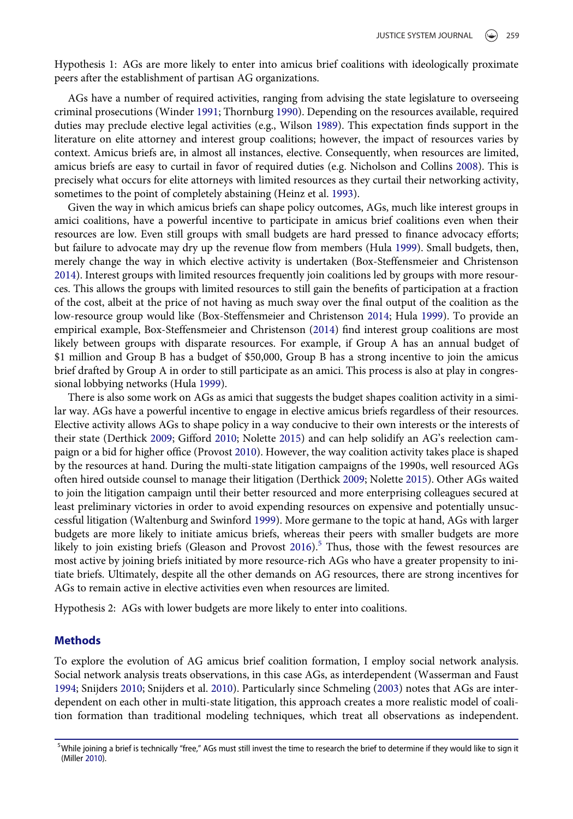Hypothesis 1: AGs are more likely to enter into amicus brief coalitions with ideologically proximate peers after the establishment of partisan AG organizations.

<span id="page-6-4"></span><span id="page-6-3"></span>AGs have a number of required activities, ranging from advising the state legislature to overseeing criminal prosecutions (Winder [1991](#page-19-19); Thornburg [1990](#page-19-20)). Depending on the resources available, required duties may preclude elective legal activities (e.g., Wilson [1989](#page-19-21)). This expectation finds support in the literature on elite attorney and interest group coalitions; however, the impact of resources varies by context. Amicus briefs are, in almost all instances, elective. Consequently, when resources are limited, amicus briefs are easy to curtail in favor of required duties (e.g. Nicholson and Collins [2008](#page-19-4)). This is precisely what occurs for elite attorneys with limited resources as they curtail their networking activity, sometimes to the point of completely abstaining (Heinz et al. [1993\)](#page-18-3).

Given the way in which amicus briefs can shape policy outcomes, AGs, much like interest groups in amici coalitions, have a powerful incentive to participate in amicus brief coalitions even when their resources are low. Even still groups with small budgets are hard pressed to finance advocacy efforts; but failure to advocate may dry up the revenue flow from members (Hula [1999\)](#page-18-9). Small budgets, then, merely change the way in which elective activity is undertaken (Box-Steffensmeier and Christenson [2014\)](#page-17-1). Interest groups with limited resources frequently join coalitions led by groups with more resources. This allows the groups with limited resources to still gain the benefits of participation at a fraction of the cost, albeit at the price of not having as much sway over the final output of the coalition as the low-resource group would like (Box-Steffensmeier and Christenson [2014](#page-17-1); Hula [1999\)](#page-18-9). To provide an empirical example, Box-Steffensmeier and Christenson [\(2014\)](#page-17-1) find interest group coalitions are most likely between groups with disparate resources. For example, if Group A has an annual budget of \$1 million and Group B has a budget of \$50,000, Group B has a strong incentive to join the amicus brief drafted by Group A in order to still participate as an amici. This process is also at play in congressional lobbying networks (Hula [1999](#page-18-9)).

There is also some work on AGs as amici that suggests the budget shapes coalition activity in a similar way. AGs have a powerful incentive to engage in elective amicus briefs regardless of their resources. Elective activity allows AGs to shape policy in a way conducive to their own interests or the interests of their state (Derthick [2009](#page-18-17); Gifford [2010](#page-18-18); Nolette [2015\)](#page-19-5) and can help solidify an AG's reelection campaign or a bid for higher office (Provost [2010\)](#page-19-15). However, the way coalition activity takes place is shaped by the resources at hand. During the multi-state litigation campaigns of the 1990s, well resourced AGs often hired outside counsel to manage their litigation (Derthick [2009;](#page-18-17) Nolette [2015](#page-19-5)). Other AGs waited to join the litigation campaign until their better resourced and more enterprising colleagues secured at least preliminary victories in order to avoid expending resources on expensive and potentially unsuccessful litigation (Waltenburg and Swinford [1999\)](#page-19-9). More germane to the topic at hand, AGs with larger budgets are more likely to initiate amicus briefs, whereas their peers with smaller budgets are more likely to join existing briefs (Gleason and Provost  $2016$ ).<sup>[5](#page-6-0)</sup> Thus, those with the fewest resources are most active by joining briefs initiated by more resource-rich AGs who have a greater propensity to initiate briefs. Ultimately, despite all the other demands on AG resources, there are strong incentives for AGs to remain active in elective activities even when resources are limited.

Hypothesis 2: AGs with lower budgets are more likely to enter into coalitions.

### Methods

<span id="page-6-2"></span>To explore the evolution of AG amicus brief coalition formation, I employ social network analysis. Social network analysis treats observations, in this case AGs, as interdependent (Wasserman and Faust [1994;](#page-19-7) Snijders [2010](#page-19-22); Snijders et al. [2010\)](#page-19-23). Particularly since Schmeling ([2003\)](#page-19-6) notes that AGs are interdependent on each other in multi-state litigation, this approach creates a more realistic model of coalition formation than traditional modeling techniques, which treat all observations as independent.

<span id="page-6-1"></span><span id="page-6-0"></span> $^5$ While joining a brief is technically "free," AGs must still invest the time to research the brief to determine if they would like to sign it (Miller [2010\)](#page-19-24).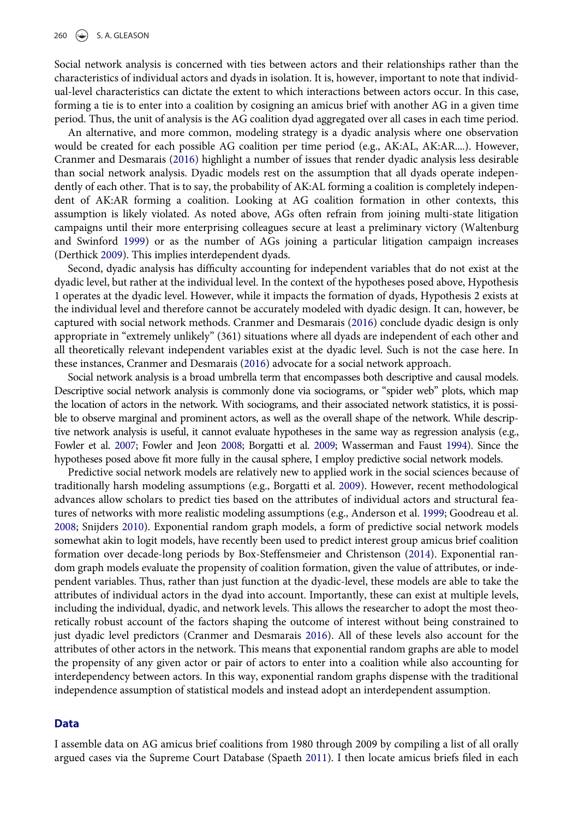260  $\left(\bigstar\right)$  S. A. GLEASON

Social network analysis is concerned with ties between actors and their relationships rather than the characteristics of individual actors and dyads in isolation. It is, however, important to note that individual-level characteristics can dictate the extent to which interactions between actors occur. In this case, forming a tie is to enter into a coalition by cosigning an amicus brief with another AG in a given time period. Thus, the unit of analysis is the AG coalition dyad aggregated over all cases in each time period.

An alternative, and more common, modeling strategy is a dyadic analysis where one observation would be created for each possible AG coalition per time period (e.g., AK:AL, AK:AR....). However, Cranmer and Desmarais [\(2016](#page-18-11)) highlight a number of issues that render dyadic analysis less desirable than social network analysis. Dyadic models rest on the assumption that all dyads operate independently of each other. That is to say, the probability of AK:AL forming a coalition is completely independent of AK:AR forming a coalition. Looking at AG coalition formation in other contexts, this assumption is likely violated. As noted above, AGs often refrain from joining multi-state litigation campaigns until their more enterprising colleagues secure at least a preliminary victory (Waltenburg and Swinford [1999\)](#page-19-9) or as the number of AGs joining a particular litigation campaign increases (Derthick [2009\)](#page-18-17). This implies interdependent dyads.

Second, dyadic analysis has difficulty accounting for independent variables that do not exist at the dyadic level, but rather at the individual level. In the context of the hypotheses posed above, Hypothesis 1 operates at the dyadic level. However, while it impacts the formation of dyads, Hypothesis 2 exists at the individual level and therefore cannot be accurately modeled with dyadic design. It can, however, be captured with social network methods. Cranmer and Desmarais [\(2016](#page-18-11)) conclude dyadic design is only appropriate in "extremely unlikely" (361) situations where all dyads are independent of each other and all theoretically relevant independent variables exist at the dyadic level. Such is not the case here. In these instances, Cranmer and Desmarais ([2016\)](#page-18-11) advocate for a social network approach.

Social network analysis is a broad umbrella term that encompasses both descriptive and causal models. Descriptive social network analysis is commonly done via sociograms, or "spider web" plots, which map the location of actors in the network. With sociograms, and their associated network statistics, it is possible to observe marginal and prominent actors, as well as the overall shape of the network. While descriptive network analysis is useful, it cannot evaluate hypotheses in the same way as regression analysis (e.g., Fowler et al. [2007](#page-18-21); Fowler and Jeon [2008;](#page-18-22) Borgatti et al. [2009;](#page-17-4) Wasserman and Faust [1994\)](#page-19-7). Since the hypotheses posed above fit more fully in the causal sphere, I employ predictive social network models.

<span id="page-7-2"></span><span id="page-7-1"></span><span id="page-7-0"></span>Predictive social network models are relatively new to applied work in the social sciences because of traditionally harsh modeling assumptions (e.g., Borgatti et al. [2009](#page-17-4)). However, recent methodological advances allow scholars to predict ties based on the attributes of individual actors and structural features of networks with more realistic modeling assumptions (e.g., Anderson et al. [1999;](#page-17-5) Goodreau et al. [2008;](#page-18-23) Snijders [2010\)](#page-19-22). Exponential random graph models, a form of predictive social network models somewhat akin to logit models, have recently been used to predict interest group amicus brief coalition formation over decade-long periods by Box-Steffensmeier and Christenson ([2014\)](#page-17-1). Exponential random graph models evaluate the propensity of coalition formation, given the value of attributes, or independent variables. Thus, rather than just function at the dyadic-level, these models are able to take the attributes of individual actors in the dyad into account. Importantly, these can exist at multiple levels, including the individual, dyadic, and network levels. This allows the researcher to adopt the most theoretically robust account of the factors shaping the outcome of interest without being constrained to just dyadic level predictors (Cranmer and Desmarais [2016\)](#page-18-11). All of these levels also account for the attributes of other actors in the network. This means that exponential random graphs are able to model the propensity of any given actor or pair of actors to enter into a coalition while also accounting for interdependency between actors. In this way, exponential random graphs dispense with the traditional independence assumption of statistical models and instead adopt an interdependent assumption.

#### Data

I assemble data on AG amicus brief coalitions from 1980 through 2009 by compiling a list of all orally argued cases via the Supreme Court Database (Spaeth [2011\)](#page-19-25). I then locate amicus briefs filed in each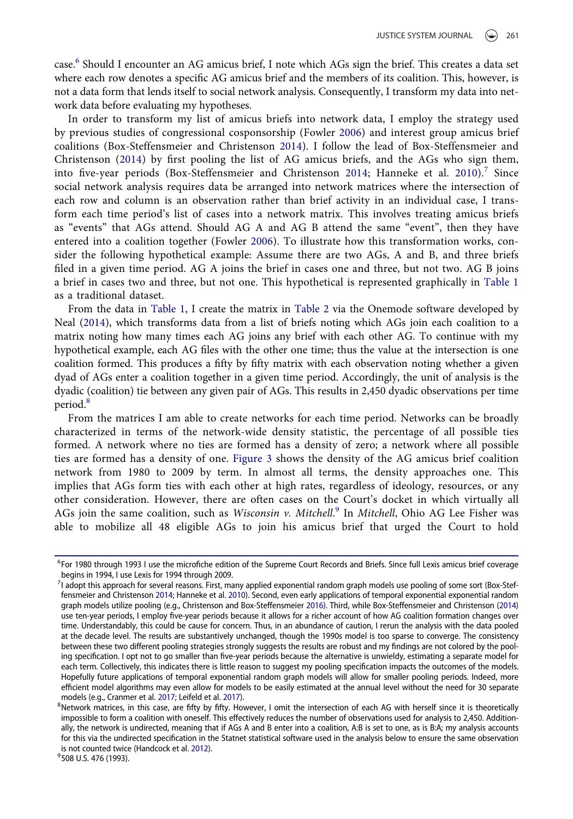case.[6](#page-8-0) Should I encounter an AG amicus brief, I note which AGs sign the brief. This creates a data set where each row denotes a specific AG amicus brief and the members of its coalition. This, however, is not a data form that lends itself to social network analysis. Consequently, I transform my data into network data before evaluating my hypotheses.

In order to transform my list of amicus briefs into network data, I employ the strategy used by previous studies of congressional cosponsorship (Fowler [2006\)](#page-18-16) and interest group amicus brief coalitions (Box-Steffensmeier and Christenson [2014\)](#page-17-1). I follow the lead of Box-Steffensmeier and Christenson [\(2014\)](#page-17-1) by first pooling the list of AG amicus briefs, and the AGs who sign them, into five-year periods (Box-Steffensmeier and Christenson [2014](#page-17-1); Hanneke et al. [2010\)](#page-18-24).<sup>[7](#page-8-1)</sup> Since social network analysis requires data be arranged into network matrices where the intersection of each row and column is an observation rather than brief activity in an individual case, I transform each time period's list of cases into a network matrix. This involves treating amicus briefs as "events" that AGs attend. Should AG A and AG B attend the same "event", then they have entered into a coalition together (Fowler [2006](#page-18-16)). To illustrate how this transformation works, consider the following hypothetical example: Assume there are two AGs, A and B, and three briefs filed in a given time period. AG A joins the brief in cases one and three, but not two. AG B joins a brief in cases two and three, but not one. This hypothetical is represented graphically in [Table 1](#page-9-0) as a traditional dataset.

From the data in [Table 1,](#page-9-0) I create the matrix in [Table 2](#page-9-1) via the Onemode software developed by Neal [\(2014\)](#page-19-18), which transforms data from a list of briefs noting which AGs join each coalition to a matrix noting how many times each AG joins any brief with each other AG. To continue with my hypothetical example, each AG files with the other one time; thus the value at the intersection is one coalition formed. This produces a fifty by fifty matrix with each observation noting whether a given dyad of AGs enter a coalition together in a given time period. Accordingly, the unit of analysis is the dyadic (coalition) tie between any given pair of AGs. This results in 2,450 dyadic observations per time period.<sup>[8](#page-8-2)</sup>

From the matrices I am able to create networks for each time period. Networks can be broadly characterized in terms of the network-wide density statistic, the percentage of all possible ties formed. A network where no ties are formed has a density of zero; a network where all possible ties are formed has a density of one. [Figure 3](#page-10-0) shows the density of the AG amicus brief coalition network from 1980 to 2009 by term. In almost all terms, the density approaches one. This implies that AGs form ties with each other at high rates, regardless of ideology, resources, or any other consideration. However, there are often cases on the Court's docket in which virtually all AGs join the same coalition, such as Wisconsin v. Mitchell.<sup>[9](#page-8-3)</sup> In Mitchell, Ohio AG Lee Fisher was able to mobilize all 48 eligible AGs to join his amicus brief that urged the Court to hold

<span id="page-8-0"></span><sup>&</sup>lt;sup>6</sup>For 1980 through 1993 I use the microfiche edition of the Supreme Court Records and Briefs. Since full Lexis amicus brief coverage begins in 1994, I use Lexis for 1994 through 2009.

<span id="page-8-7"></span><span id="page-8-4"></span><span id="page-8-1"></span><sup>7</sup> I adopt this approach for several reasons. First, many applied exponential random graph models use pooling of some sort (Box-Steffensmeier and Christenson [2014;](#page-17-1) Hanneke et al. [2010\)](#page-18-24). Second, even early applications of temporal exponential exponential random graph models utilize pooling (e.g., Christenson and Box-Steffensmeier [2016](#page-18-25)). Third, while Box-Steffensmeier and Christenson [\(2014\)](#page-17-1) use ten-year periods, I employ five-year periods because it allows for a richer account of how AG coalition formation changes over time. Understandably, this could be cause for concern. Thus, in an abundance of caution, I rerun the analysis with the data pooled at the decade level. The results are substantively unchanged, though the 1990s model is too sparse to converge. The consistency between these two different pooling strategies strongly suggests the results are robust and my findings are not colored by the pooling specification. I opt not to go smaller than five-year periods because the alternative is unwieldy, estimating a separate model for each term. Collectively, this indicates there is little reason to suggest my pooling specification impacts the outcomes of the models. Hopefully future applications of temporal exponential random graph models will allow for smaller pooling periods. Indeed, more efficient model algorithms may even allow for models to be easily estimated at the annual level without the need for 30 separate models (e.g., Cranmer et al. [2017;](#page-18-26) Leifeld et al. [2017](#page-18-27)).

<span id="page-8-5"></span><span id="page-8-2"></span><sup>&</sup>lt;sup>8</sup>Network matrices, in this case, are fifty by fifty. However, I omit the intersection of each AG with herself since it is theoretically impossible to form a coalition with oneself. This effectively reduces the number of observations used for analysis to 2,450. Additionally, the network is undirected, meaning that if AGs A and B enter into a coalition, A:B is set to one, as is B:A; my analysis accounts for this via the undirected specification in the Statnet statistical software used in the analysis below to ensure the same observation is not counted twice (Handcock et al. [2012](#page-18-28)).

<span id="page-8-6"></span><span id="page-8-3"></span><sup>&</sup>lt;sup>9</sup>508 U.S. 476 (1993).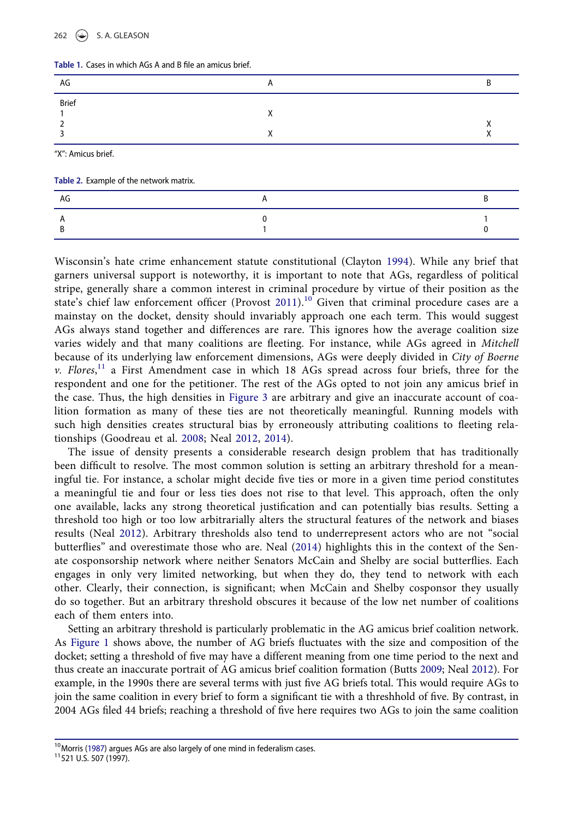#### 262  $\left(\bigstar\right)$  S. A. GLEASON

<span id="page-9-0"></span>

| Table 1. Cases in which AGs A and B file an amicus brief. |  |  |  |  |
|-----------------------------------------------------------|--|--|--|--|
|                                                           |  |  |  |  |

| AG           |          |  |
|--------------|----------|--|
| <b>Brief</b> | $\cdots$ |  |

"X": Amicus brief.

<span id="page-9-1"></span>

| Table 2. Example of the network matrix. |
|-----------------------------------------|
|                                         |

| AG |  |
|----|--|
|    |  |

Wisconsin's hate crime enhancement statute constitutional (Clayton [1994\)](#page-18-1). While any brief that garners universal support is noteworthy, it is important to note that AGs, regardless of political stripe, generally share a common interest in criminal procedure by virtue of their position as the state's chief law enforcement officer (Provost [2011\)](#page-19-16).<sup>[10](#page-9-2)</sup> Given that criminal procedure cases are a mainstay on the docket, density should invariably approach one each term. This would suggest AGs always stand together and differences are rare. This ignores how the average coalition size varies widely and that many coalitions are fleeting. For instance, while AGs agreed in Mitchell because of its underlying law enforcement dimensions, AGs were deeply divided in City of Boerne v. Flores,<sup>[11](#page-9-3)</sup> a First Amendment case in which 18 AGs spread across four briefs, three for the respondent and one for the petitioner. The rest of the AGs opted to not join any amicus brief in the case. Thus, the high densities in [Figure 3](#page-10-0) are arbitrary and give an inaccurate account of coalition formation as many of these ties are not theoretically meaningful. Running models with such high densities creates structural bias by erroneously attributing coalitions to fleeting relationships (Goodreau et al. [2008](#page-18-23); Neal [2012,](#page-19-26) [2014](#page-19-18)).

The issue of density presents a considerable research design problem that has traditionally been difficult to resolve. The most common solution is setting an arbitrary threshold for a meaningful tie. For instance, a scholar might decide five ties or more in a given time period constitutes a meaningful tie and four or less ties does not rise to that level. This approach, often the only one available, lacks any strong theoretical justification and can potentially bias results. Setting a threshold too high or too low arbitrarially alters the structural features of the network and biases results (Neal [2012\)](#page-19-26). Arbitrary thresholds also tend to underrepresent actors who are not "social butterflies" and overestimate those who are. Neal ([2014](#page-19-18)) highlights this in the context of the Senate cosponsorship network where neither Senators McCain and Shelby are social butterflies. Each engages in only very limited networking, but when they do, they tend to network with each other. Clearly, their connection, is significant; when McCain and Shelby cosponsor they usually do so together. But an arbitrary threshold obscures it because of the low net number of coalitions each of them enters into.

<span id="page-9-4"></span>Setting an arbitrary threshold is particularly problematic in the AG amicus brief coalition network. As [Figure 1](#page-4-0) shows above, the number of AG briefs fluctuates with the size and composition of the docket; setting a threshold of five may have a different meaning from one time period to the next and thus create an inaccurate portrait of AG amicus brief coalition formation (Butts [2009;](#page-18-29) Neal [2012\)](#page-19-26). For example, in the 1990s there are several terms with just five AG briefs total. This would require AGs to join the same coalition in every brief to form a significant tie with a threshhold of five. By contrast, in 2004 AGs filed 44 briefs; reaching a threshold of five here requires two AGs to join the same coalition

<span id="page-9-3"></span><span id="page-9-2"></span><sup>&</sup>lt;sup>10</sup>Morris ([1987\)](#page-19-0) argues AGs are also largely of one mind in federalism cases.<br><sup>11</sup>521 U.S. 507 (1997).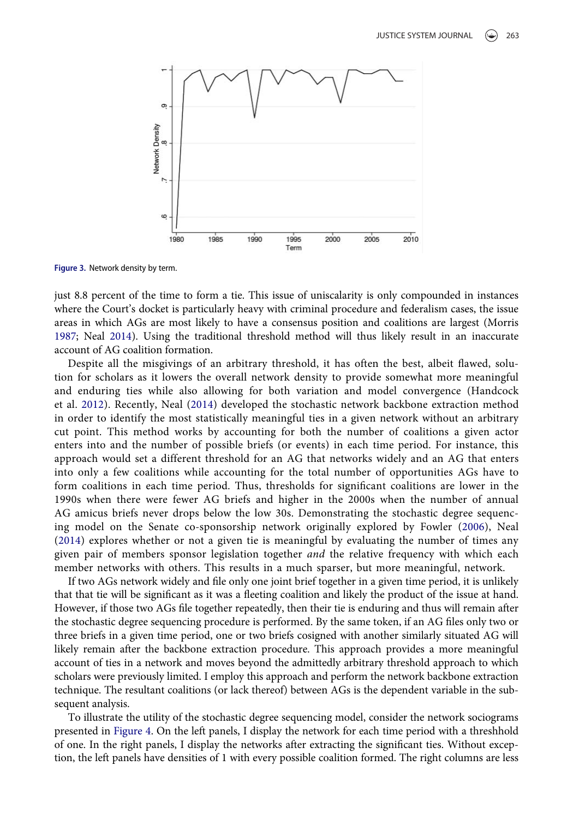<span id="page-10-0"></span>

Figure 3. Network density by term.

just 8.8 percent of the time to form a tie. This issue of uniscalarity is only compounded in instances where the Court's docket is particularly heavy with criminal procedure and federalism cases, the issue areas in which AGs are most likely to have a consensus position and coalitions are largest (Morris [1987;](#page-19-0) Neal [2014\)](#page-19-18). Using the traditional threshold method will thus likely result in an inaccurate account of AG coalition formation.

Despite all the misgivings of an arbitrary threshold, it has often the best, albeit flawed, solution for scholars as it lowers the overall network density to provide somewhat more meaningful and enduring ties while also allowing for both variation and model convergence (Handcock et al. [2012](#page-18-28)). Recently, Neal ([2014\)](#page-19-18) developed the stochastic network backbone extraction method in order to identify the most statistically meaningful ties in a given network without an arbitrary cut point. This method works by accounting for both the number of coalitions a given actor enters into and the number of possible briefs (or events) in each time period. For instance, this approach would set a different threshold for an AG that networks widely and an AG that enters into only a few coalitions while accounting for the total number of opportunities AGs have to form coalitions in each time period. Thus, thresholds for significant coalitions are lower in the 1990s when there were fewer AG briefs and higher in the 2000s when the number of annual AG amicus briefs never drops below the low 30s. Demonstrating the stochastic degree sequencing model on the Senate co-sponsorship network originally explored by Fowler [\(2006](#page-18-16)), Neal [\(2014](#page-19-18)) explores whether or not a given tie is meaningful by evaluating the number of times any given pair of members sponsor legislation together and the relative frequency with which each member networks with others. This results in a much sparser, but more meaningful, network.

If two AGs network widely and file only one joint brief together in a given time period, it is unlikely that that tie will be significant as it was a fleeting coalition and likely the product of the issue at hand. However, if those two AGs file together repeatedly, then their tie is enduring and thus will remain after the stochastic degree sequencing procedure is performed. By the same token, if an AG files only two or three briefs in a given time period, one or two briefs cosigned with another similarly situated AG will likely remain after the backbone extraction procedure. This approach provides a more meaningful account of ties in a network and moves beyond the admittedly arbitrary threshold approach to which scholars were previously limited. I employ this approach and perform the network backbone extraction technique. The resultant coalitions (or lack thereof) between AGs is the dependent variable in the subsequent analysis.

To illustrate the utility of the stochastic degree sequencing model, consider the network sociograms presented in [Figure 4.](#page-11-0) On the left panels, I display the network for each time period with a threshhold of one. In the right panels, I display the networks after extracting the significant ties. Without exception, the left panels have densities of 1 with every possible coalition formed. The right columns are less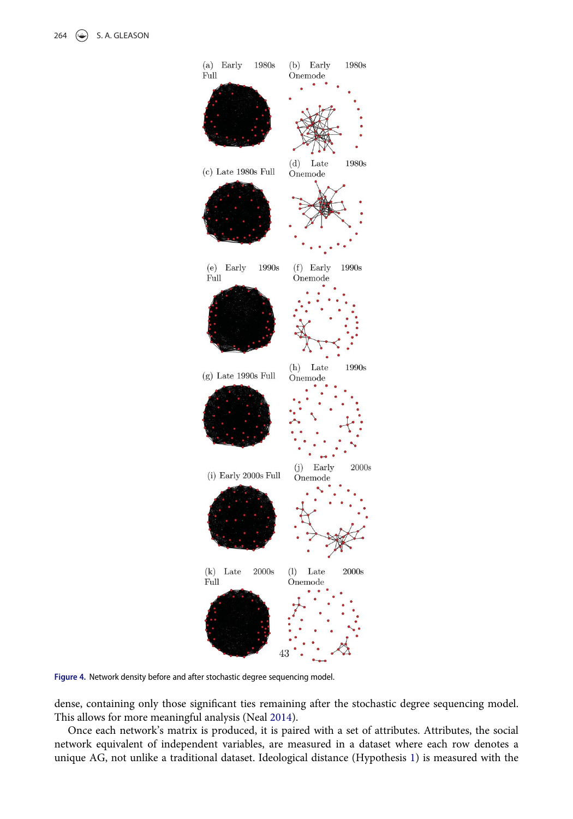<span id="page-11-0"></span>

Figure 4. Network density before and after stochastic degree sequencing model.

dense, containing only those significant ties remaining after the stochastic degree sequencing model. This allows for more meaningful analysis (Neal [2014\)](#page-19-18).

Once each network's matrix is produced, it is paired with a set of attributes. Attributes, the social network equivalent of independent variables, are measured in a dataset where each row denotes a unique AG, not unlike a traditional dataset. Ideological distance (Hypothesis 1) is measured with the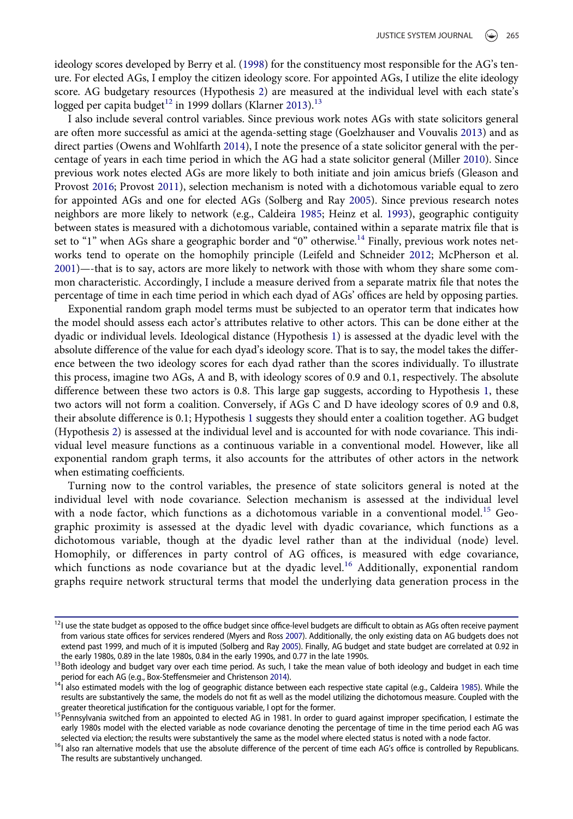ideology scores developed by Berry et al. [\(1998](#page-17-3)) for the constituency most responsible for the AG's tenure. For elected AGs, I employ the citizen ideology score. For appointed AGs, I utilize the elite ideology score. AG budgetary resources (Hypothesis 2) are measured at the individual level with each state's logged per capita budget<sup>[12](#page-12-0)</sup> in 1999 dollars (Klarner [2013\)](#page-18-30).<sup>[13](#page-12-1)</sup>

<span id="page-12-7"></span><span id="page-12-5"></span>I also include several control variables. Since previous work notes AGs with state solicitors general are often more successful as amici at the agenda-setting stage (Goelzhauser and Vouvalis [2013](#page-18-2)) and as direct parties (Owens and Wohlfarth [2014\)](#page-19-27), I note the presence of a state solicitor general with the percentage of years in each time period in which the AG had a state solicitor general (Miller [2010\)](#page-19-24). Since previous work notes elected AGs are more likely to both initiate and join amicus briefs (Gleason and Provost [2016](#page-18-20); Provost [2011\)](#page-19-16), selection mechanism is noted with a dichotomous variable equal to zero for appointed AGs and one for elected AGs (Solberg and Ray [2005](#page-19-28)). Since previous research notes neighbors are more likely to network (e.g., Caldeira [1985](#page-18-31); Heinz et al. [1993](#page-18-3)), geographic contiguity between states is measured with a dichotomous variable, contained within a separate matrix file that is set to "1" when AGs share a geographic border and "0" otherwise.<sup>[14](#page-12-2)</sup> Finally, previous work notes networks tend to operate on the homophily principle (Leifeld and Schneider [2012](#page-18-32); McPherson et al. [2001\)](#page-19-29)—-that is to say, actors are more likely to network with those with whom they share some common characteristic. Accordingly, I include a measure derived from a separate matrix file that notes the percentage of time in each time period in which each dyad of AGs' offices are held by opposing parties.

<span id="page-12-6"></span>Exponential random graph model terms must be subjected to an operator term that indicates how the model should assess each actor's attributes relative to other actors. This can be done either at the dyadic or individual levels. Ideological distance (Hypothesis 1) is assessed at the dyadic level with the absolute difference of the value for each dyad's ideology score. That is to say, the model takes the difference between the two ideology scores for each dyad rather than the scores individually. To illustrate this process, imagine two AGs, A and B, with ideology scores of 0.9 and 0.1, respectively. The absolute difference between these two actors is 0.8. This large gap suggests, according to Hypothesis 1, these two actors will not form a coalition. Conversely, if AGs C and D have ideology scores of 0.9 and 0.8, their absolute difference is 0.1; Hypothesis 1 suggests they should enter a coalition together. AG budget (Hypothesis 2) is assessed at the individual level and is accounted for with node covariance. This individual level measure functions as a continuous variable in a conventional model. However, like all exponential random graph terms, it also accounts for the attributes of other actors in the network when estimating coefficients.

Turning now to the control variables, the presence of state solicitors general is noted at the individual level with node covariance. Selection mechanism is assessed at the individual level with a node factor, which functions as a dichotomous variable in a conventional model.<sup>[15](#page-12-3)</sup> Geographic proximity is assessed at the dyadic level with dyadic covariance, which functions as a dichotomous variable, though at the dyadic level rather than at the individual (node) level. Homophily, or differences in party control of AG offices, is measured with edge covariance, which functions as node covariance but at the dyadic level.<sup>[16](#page-12-4)</sup> Additionally, exponential random graphs require network structural terms that model the underlying data generation process in the

<span id="page-12-0"></span><sup>&</sup>lt;sup>12</sup>I use the state budget as opposed to the office budget since office-level budgets are difficult to obtain as AGs often receive payment from various state offices for services rendered (Myers and Ross [2007](#page-19-3)). Additionally, the only existing data on AG budgets does not extend past 1999, and much of it is imputed (Solberg and Ray [2005\)](#page-19-28). Finally, AG budget and state budget are correlated at 0.92 in the early 1980s, 0.89 in the late 1980s, 0.89 in the late 1990s, and 0.77 in the late 1990s.

<span id="page-12-8"></span><span id="page-12-1"></span><sup>&</sup>lt;sup>13</sup> Both ideology and budget vary over each time period. As such, I take the mean value of both ideology and budget in each time period for each AG (e.g., Box-Steffensmeier and Christenson 2014).

<span id="page-12-2"></span>period for each AG (e.g., Box-Steffensmeier and Christenson [2014](#page-17-1)). 14I also estimated models with the log of geographic distance between each respective state capital (e.g., Caldeira [1985](#page-18-31)). While the results are substantively the same, the models do not fit as well as the model utilizing the dichotomous measure. Coupled with the greater theoretical justification for the contiguous variable, I opt for the former.

<span id="page-12-3"></span><sup>&</sup>lt;sup>15</sup> Pennsylvania switched from an appointed to elected AG in 1981. In order to guard against improper specification, I estimate the early 1980s model with the elected variable as node covariance denoting the percentage of time in the time period each AG was<br>selected via election; the results were substantively the same as the model where elected status

<span id="page-12-4"></span><sup>&</sup>lt;sup>16</sup>I also ran alternative models that use the absolute difference of the percent of time each AG's office is controlled by Republicans. The results are substantively unchanged.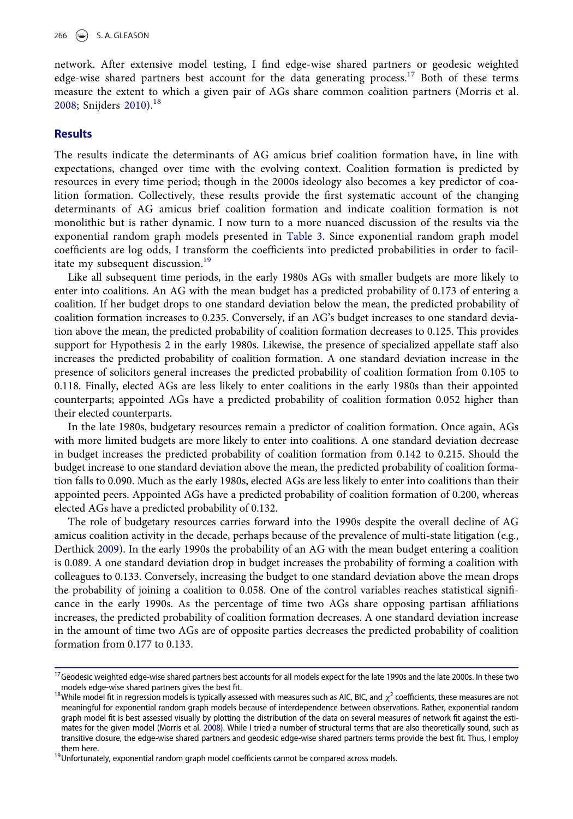network. After extensive model testing, I find edge-wise shared partners or geodesic weighted edge-wise shared partners best account for the data generating process.<sup>[17](#page-13-0)</sup> Both of these terms measure the extent to which a given pair of AGs share common coalition partners (Morris et al. [2008](#page-19-30); Snijders [2010\)](#page-19-22).<sup>[18](#page-13-1)</sup>

#### **Results**

The results indicate the determinants of AG amicus brief coalition formation have, in line with expectations, changed over time with the evolving context. Coalition formation is predicted by resources in every time period; though in the 2000s ideology also becomes a key predictor of coalition formation. Collectively, these results provide the first systematic account of the changing determinants of AG amicus brief coalition formation and indicate coalition formation is not monolithic but is rather dynamic. I now turn to a more nuanced discussion of the results via the exponential random graph models presented in [Table 3.](#page-14-0) Since exponential random graph model coefficients are log odds, I transform the coefficients into predicted probabilities in order to facil-itate my subsequent discussion.<sup>[19](#page-13-2)</sup>

Like all subsequent time periods, in the early 1980s AGs with smaller budgets are more likely to enter into coalitions. An AG with the mean budget has a predicted probability of 0.173 of entering a coalition. If her budget drops to one standard deviation below the mean, the predicted probability of coalition formation increases to 0.235. Conversely, if an AG's budget increases to one standard deviation above the mean, the predicted probability of coalition formation decreases to 0.125. This provides support for Hypothesis 2 in the early 1980s. Likewise, the presence of specialized appellate staff also increases the predicted probability of coalition formation. A one standard deviation increase in the presence of solicitors general increases the predicted probability of coalition formation from 0.105 to 0.118. Finally, elected AGs are less likely to enter coalitions in the early 1980s than their appointed counterparts; appointed AGs have a predicted probability of coalition formation 0.052 higher than their elected counterparts.

In the late 1980s, budgetary resources remain a predictor of coalition formation. Once again, AGs with more limited budgets are more likely to enter into coalitions. A one standard deviation decrease in budget increases the predicted probability of coalition formation from 0.142 to 0.215. Should the budget increase to one standard deviation above the mean, the predicted probability of coalition formation falls to 0.090. Much as the early 1980s, elected AGs are less likely to enter into coalitions than their appointed peers. Appointed AGs have a predicted probability of coalition formation of 0.200, whereas elected AGs have a predicted probability of 0.132.

The role of budgetary resources carries forward into the 1990s despite the overall decline of AG amicus coalition activity in the decade, perhaps because of the prevalence of multi-state litigation (e.g., Derthick [2009\)](#page-18-17). In the early 1990s the probability of an AG with the mean budget entering a coalition is 0.089. A one standard deviation drop in budget increases the probability of forming a coalition with colleagues to 0.133. Conversely, increasing the budget to one standard deviation above the mean drops the probability of joining a coalition to 0.058. One of the control variables reaches statistical significance in the early 1990s. As the percentage of time two AGs share opposing partisan affiliations increases, the predicted probability of coalition formation decreases. A one standard deviation increase in the amount of time two AGs are of opposite parties decreases the predicted probability of coalition formation from 0.177 to 0.133.

<span id="page-13-0"></span><sup>&</sup>lt;sup>17</sup>Geodesic weighted edge-wise shared partners best accounts for all models expect for the late 1990s and the late 2000s. In these two models edge-wise shared partners gives the best fit.

<span id="page-13-3"></span><span id="page-13-1"></span><sup>&</sup>lt;sup>18</sup>While model fit in regression models is typically assessed with measures such as AIC, BIC, and  $\chi^2$  coefficients, these measures are not meaningful for exponential random graph models because of interdependence between observations. Rather, exponential random graph model fit is best assessed visually by plotting the distribution of the data on several measures of network fit against the estimates for the given model (Morris et al. [2008\)](#page-19-30). While I tried a number of structural terms that are also theoretically sound, such as transitive closure, the edge-wise shared partners and geodesic edge-wise shared partners terms provide the best fit. Thus, I employ

<span id="page-13-2"></span> $19$ Unfortunately, exponential random graph model coefficients cannot be compared across models.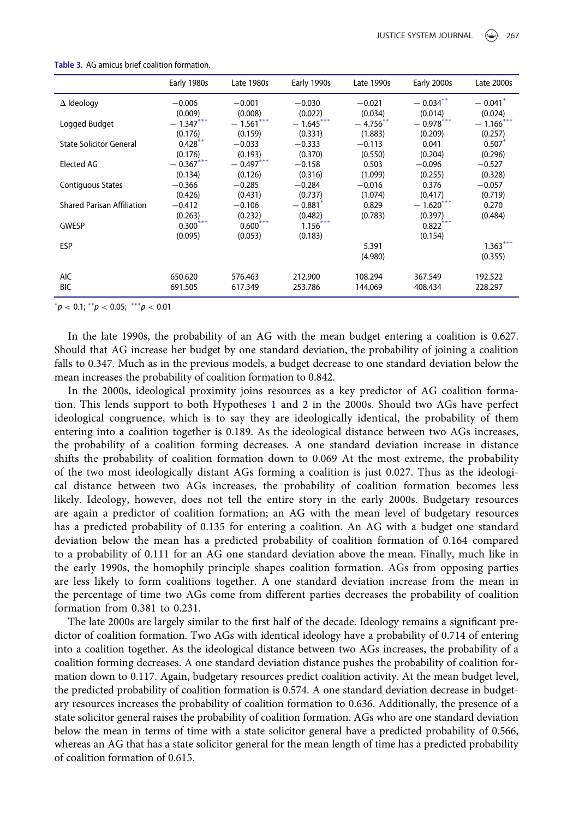|                                   | Early 1980s | Late 1980s  | Early 1990s           | Late 1990s  | Early 2000s                 | Late 2000s            |
|-----------------------------------|-------------|-------------|-----------------------|-------------|-----------------------------|-----------------------|
| $\Delta$ Ideology                 | $-0.006$    | $-0.001$    | $-0.030$              | $-0.021$    | $-0.034***$                 | $-0.041$ <sup>*</sup> |
|                                   | (0.009)     | (0.008)     | (0.022)               | (0.034)     | (0.014)                     | (0.024)               |
| Logged Budget                     | $-1.347***$ | $-1.561***$ | $-1.645***$           | $-4.756***$ | $-$ 0.978 $^{\ast\ast\ast}$ | $-1.166$ ***          |
|                                   | (0.176)     | (0.159)     | (0.331)               | (1.883)     | (0.209)                     | (0.257)               |
| <b>State Solicitor General</b>    | $0.428***$  | $-0.033$    | $-0.333$              | $-0.113$    | 0.041                       | 0.507                 |
|                                   | (0.176)     | (0.193)     | (0.370)               | (0.550)     | (0.204)                     | (0.296)               |
| Elected AG                        | $-0.367***$ | $-0.497***$ | $-0.158$              | 0.503       | $-0.096$                    | $-0.527$              |
|                                   | (0.134)     | (0.126)     | (0.316)               | (1.099)     | (0.255)                     | (0.328)               |
| <b>Contiguous States</b>          | $-0.366$    | $-0.285$    | $-0.284$              | $-0.016$    | 0.376                       | $-0.057$              |
|                                   | (0.426)     | (0.431)     | (0.737)               | (1.074)     | (0.417)                     | (0.719)               |
| <b>Shared Parisan Affiliation</b> | $-0.412$    | $-0.106$    | $-0.881$ <sup>*</sup> | 0.829       | $-1.620***$                 | 0.270                 |
|                                   | (0.263)     | (0.232)     | (0.482)               | (0.783)     | (0.397)                     | (0.484)               |
| <b>GWESP</b>                      | $0.300***$  | $0.600***$  | $1.156***$            |             | $0.822***$                  |                       |
|                                   | (0.095)     | (0.053)     | (0.183)               |             | (0.154)                     |                       |
| <b>ESP</b>                        |             |             |                       | 5.391       |                             | $1.363***$            |
|                                   |             |             |                       | (4.980)     |                             | (0.355)               |
|                                   |             |             |                       |             |                             |                       |
| <b>AIC</b>                        | 650.620     | 576.463     | 212.900               | 108.294     | 367.549                     | 192.522               |
| <b>BIC</b>                        | 691.505     | 617.349     | 253.786               | 144.069     | 408.434                     | 228.297               |

#### <span id="page-14-0"></span>Table 3. AG amicus brief coalition formation.

<span id="page-14-1"></span> $^*p <$  0.1;  $^*^*p <$  0.05;  $^{\ast**}p <$  0.01

In the late 1990s, the probability of an AG with the mean budget entering a coalition is 0.627. Should that AG increase her budget by one standard deviation, the probability of joining a coalition falls to 0.347. Much as in the previous models, a budget decrease to one standard deviation below the mean increases the probability of coalition formation to 0.842.

In the 2000s, ideological proximity joins resources as a key predictor of AG coalition formation. This lends support to both Hypotheses 1 and 2 in the 2000s. Should two AGs have perfect ideological congruence, which is to say they are ideologically identical, the probability of them entering into a coalition together is 0.189. As the ideological distance between two AGs increases, the probability of a coalition forming decreases. A one standard deviation increase in distance shifts the probability of coalition formation down to 0.069 At the most extreme, the probability of the two most ideologically distant AGs forming a coalition is just 0.027. Thus as the ideological distance between two AGs increases, the probability of coalition formation becomes less likely. Ideology, however, does not tell the entire story in the early 2000s. Budgetary resources are again a predictor of coalition formation; an AG with the mean level of budgetary resources has a predicted probability of 0.135 for entering a coalition. An AG with a budget one standard deviation below the mean has a predicted probability of coalition formation of 0.164 compared to a probability of 0.111 for an AG one standard deviation above the mean. Finally, much like in the early 1990s, the homophily principle shapes coalition formation. AGs from opposing parties are less likely to form coalitions together. A one standard deviation increase from the mean in the percentage of time two AGs come from different parties decreases the probability of coalition formation from 0.381 to 0.231.

The late 2000s are largely similar to the first half of the decade. Ideology remains a significant predictor of coalition formation. Two AGs with identical ideology have a probability of 0.714 of entering into a coalition together. As the ideological distance between two AGs increases, the probability of a coalition forming decreases. A one standard deviation distance pushes the probability of coalition formation down to 0.117. Again, budgetary resources predict coalition activity. At the mean budget level, the predicted probability of coalition formation is 0.574. A one standard deviation decrease in budgetary resources increases the probability of coalition formation to 0.636. Additionally, the presence of a state solicitor general raises the probability of coalition formation. AGs who are one standard deviation below the mean in terms of time with a state solicitor general have a predicted probability of 0.566, whereas an AG that has a state solicitor general for the mean length of time has a predicted probability of coalition formation of 0.615.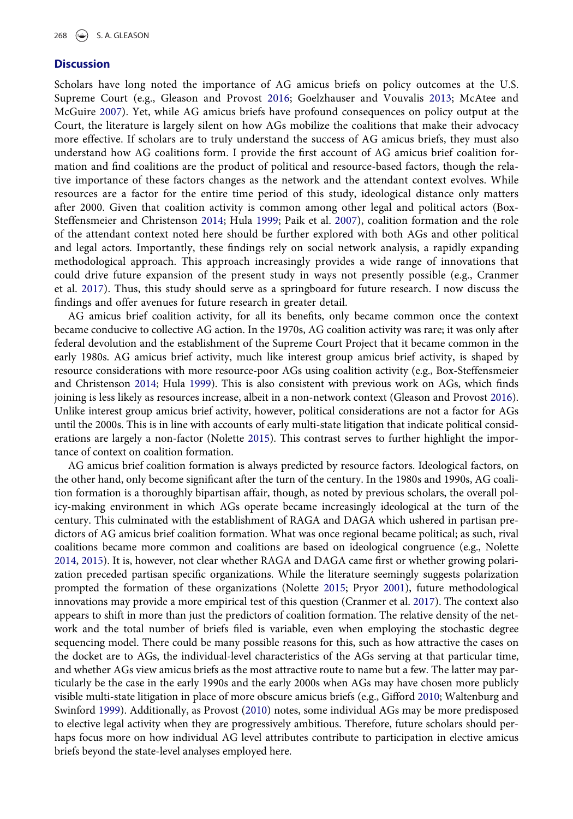#### **Discussion**

Scholars have long noted the importance of AG amicus briefs on policy outcomes at the U.S. Supreme Court (e.g., Gleason and Provost [2016;](#page-18-20) Goelzhauser and Vouvalis [2013](#page-18-2); McAtee and McGuire [2007](#page-18-0)). Yet, while AG amicus briefs have profound consequences on policy output at the Court, the literature is largely silent on how AGs mobilize the coalitions that make their advocacy more effective. If scholars are to truly understand the success of AG amicus briefs, they must also understand how AG coalitions form. I provide the first account of AG amicus brief coalition formation and find coalitions are the product of political and resource-based factors, though the relative importance of these factors changes as the network and the attendant context evolves. While resources are a factor for the entire time period of this study, ideological distance only matters after 2000. Given that coalition activity is common among other legal and political actors (Box-Steffensmeier and Christenson [2014;](#page-17-1) Hula [1999;](#page-18-9) Paik et al. [2007](#page-19-11)), coalition formation and the role of the attendant context noted here should be further explored with both AGs and other political and legal actors. Importantly, these findings rely on social network analysis, a rapidly expanding methodological approach. This approach increasingly provides a wide range of innovations that could drive future expansion of the present study in ways not presently possible (e.g., Cranmer et al. [2017](#page-18-26)). Thus, this study should serve as a springboard for future research. I now discuss the findings and offer avenues for future research in greater detail.

AG amicus brief coalition activity, for all its benefits, only became common once the context became conducive to collective AG action. In the 1970s, AG coalition activity was rare; it was only after federal devolution and the establishment of the Supreme Court Project that it became common in the early 1980s. AG amicus brief activity, much like interest group amicus brief activity, is shaped by resource considerations with more resource-poor AGs using coalition activity (e.g., Box-Steffensmeier and Christenson [2014](#page-17-1); Hula [1999\)](#page-18-9). This is also consistent with previous work on AGs, which finds joining is less likely as resources increase, albeit in a non-network context (Gleason and Provost [2016](#page-18-20)). Unlike interest group amicus brief activity, however, political considerations are not a factor for AGs until the 2000s. This is in line with accounts of early multi-state litigation that indicate political considerations are largely a non-factor (Nolette [2015](#page-19-5)). This contrast serves to further highlight the importance of context on coalition formation.

AG amicus brief coalition formation is always predicted by resource factors. Ideological factors, on the other hand, only become significant after the turn of the century. In the 1980s and 1990s, AG coalition formation is a thoroughly bipartisan affair, though, as noted by previous scholars, the overall policy-making environment in which AGs operate became increasingly ideological at the turn of the century. This culminated with the establishment of RAGA and DAGA which ushered in partisan predictors of AG amicus brief coalition formation. What was once regional became political; as such, rival coalitions became more common and coalitions are based on ideological congruence (e.g., Nolette [2014](#page-19-2), [2015\)](#page-19-5). It is, however, not clear whether RAGA and DAGA came first or whether growing polarization preceded partisan specific organizations. While the literature seemingly suggests polarization prompted the formation of these organizations (Nolette [2015;](#page-19-5) Pryor [2001](#page-19-17)), future methodological innovations may provide a more empirical test of this question (Cranmer et al. [2017](#page-18-26)). The context also appears to shift in more than just the predictors of coalition formation. The relative density of the network and the total number of briefs filed is variable, even when employing the stochastic degree sequencing model. There could be many possible reasons for this, such as how attractive the cases on the docket are to AGs, the individual-level characteristics of the AGs serving at that particular time, and whether AGs view amicus briefs as the most attractive route to name but a few. The latter may particularly be the case in the early 1990s and the early 2000s when AGs may have chosen more publicly visible multi-state litigation in place of more obscure amicus briefs (e.g., Gifford [2010](#page-18-18); Waltenburg and Swinford [1999\)](#page-19-9). Additionally, as Provost ([2010\)](#page-19-15) notes, some individual AGs may be more predisposed to elective legal activity when they are progressively ambitious. Therefore, future scholars should perhaps focus more on how individual AG level attributes contribute to participation in elective amicus briefs beyond the state-level analyses employed here.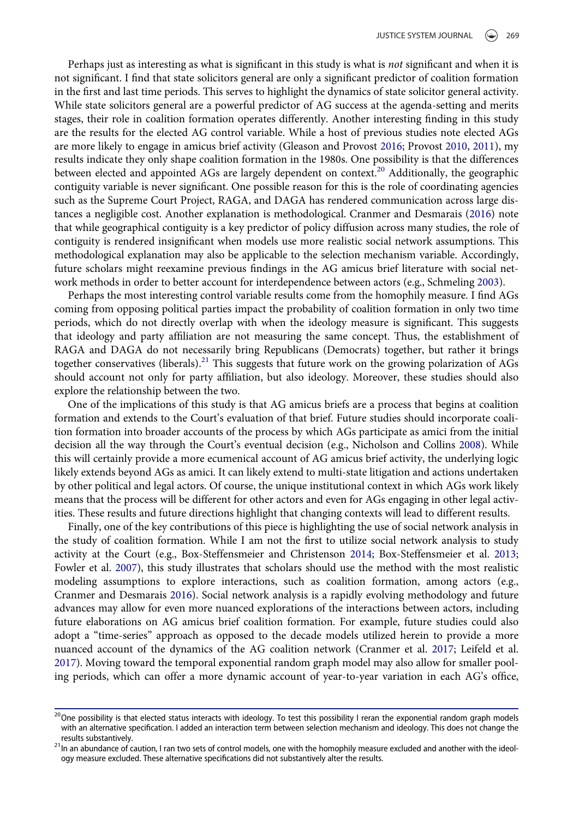Perhaps just as interesting as what is significant in this study is what is *not* significant and when it is not significant. I find that state solicitors general are only a significant predictor of coalition formation in the first and last time periods. This serves to highlight the dynamics of state solicitor general activity. While state solicitors general are a powerful predictor of AG success at the agenda-setting and merits stages, their role in coalition formation operates differently. Another interesting finding in this study are the results for the elected AG control variable. While a host of previous studies note elected AGs are more likely to engage in amicus brief activity (Gleason and Provost [2016;](#page-18-20) Provost [2010](#page-19-15), [2011](#page-19-16)), my results indicate they only shape coalition formation in the 1980s. One possibility is that the differences between elected and appointed AGs are largely dependent on context.<sup>[20](#page-16-0)</sup> Additionally, the geographic contiguity variable is never significant. One possible reason for this is the role of coordinating agencies such as the Supreme Court Project, RAGA, and DAGA has rendered communication across large distances a negligible cost. Another explanation is methodological. Cranmer and Desmarais ([2016\)](#page-18-11) note that while geographical contiguity is a key predictor of policy diffusion across many studies, the role of contiguity is rendered insignificant when models use more realistic social network assumptions. This methodological explanation may also be applicable to the selection mechanism variable. Accordingly, future scholars might reexamine previous findings in the AG amicus brief literature with social network methods in order to better account for interdependence between actors (e.g., Schmeling [2003\)](#page-19-6).

Perhaps the most interesting control variable results come from the homophily measure. I find AGs coming from opposing political parties impact the probability of coalition formation in only two time periods, which do not directly overlap with when the ideology measure is significant. This suggests that ideology and party affiliation are not measuring the same concept. Thus, the establishment of RAGA and DAGA do not necessarily bring Republicans (Democrats) together, but rather it brings together conservatives (liberals).<sup>21</sup> This suggests that future work on the growing polarization of AGs should account not only for party affiliation, but also ideology. Moreover, these studies should also explore the relationship between the two.

One of the implications of this study is that AG amicus briefs are a process that begins at coalition formation and extends to the Court's evaluation of that brief. Future studies should incorporate coalition formation into broader accounts of the process by which AGs participate as amici from the initial decision all the way through the Court's eventual decision (e.g., Nicholson and Collins [2008\)](#page-19-4). While this will certainly provide a more ecumenical account of AG amicus brief activity, the underlying logic likely extends beyond AGs as amici. It can likely extend to multi-state litigation and actions undertaken by other political and legal actors. Of course, the unique institutional context in which AGs work likely means that the process will be different for other actors and even for AGs engaging in other legal activities. These results and future directions highlight that changing contexts will lead to different results.

Finally, one of the key contributions of this piece is highlighting the use of social network analysis in the study of coalition formation. While I am not the first to utilize social network analysis to study activity at the Court (e.g., Box-Steffensmeier and Christenson [2014](#page-17-1); Box-Steffensmeier et al. [2013;](#page-18-7) Fowler et al. [2007\)](#page-18-21), this study illustrates that scholars should use the method with the most realistic modeling assumptions to explore interactions, such as coalition formation, among actors (e.g., Cranmer and Desmarais [2016\)](#page-18-11). Social network analysis is a rapidly evolving methodology and future advances may allow for even more nuanced explorations of the interactions between actors, including future elaborations on AG amicus brief coalition formation. For example, future studies could also adopt a "time-series" approach as opposed to the decade models utilized herein to provide a more nuanced account of the dynamics of the AG coalition network (Cranmer et al. [2017](#page-18-26); Leifeld et al. [2017\)](#page-18-27). Moving toward the temporal exponential random graph model may also allow for smaller pooling periods, which can offer a more dynamic account of year-to-year variation in each AG's office,

<span id="page-16-0"></span><sup>&</sup>lt;sup>20</sup>One possibility is that elected status interacts with ideology. To test this possibility I reran the exponential random graph models with an alternative specification. I added an interaction term between selection mechanism and ideology. This does not change the

<span id="page-16-1"></span>results substantively.<br><sup>21</sup>In an abundance of caution, I ran two sets of control models, one with the homophily measure excluded and another with the ideology measure excluded. These alternative specifications did not substantively alter the results.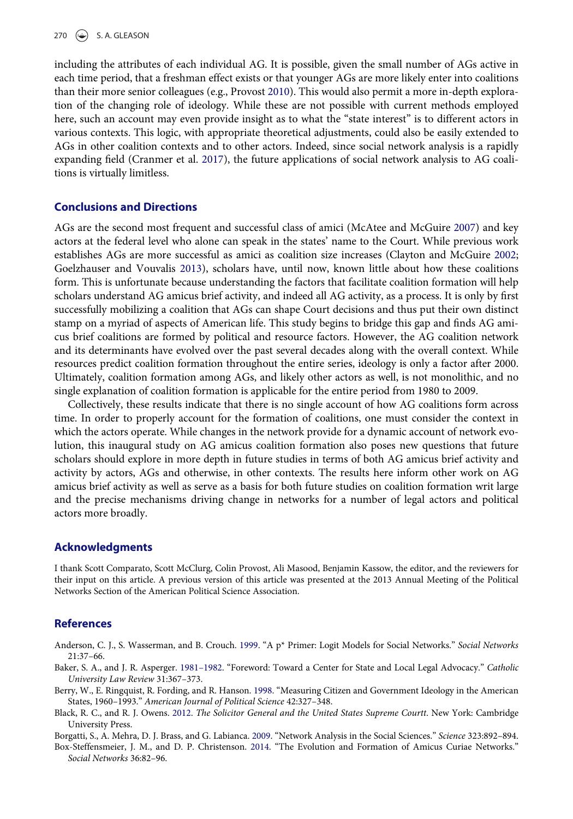including the attributes of each individual AG. It is possible, given the small number of AGs active in each time period, that a freshman effect exists or that younger AGs are more likely enter into coalitions than their more senior colleagues (e.g., Provost [2010\)](#page-19-15). This would also permit a more in-depth exploration of the changing role of ideology. While these are not possible with current methods employed here, such an account may even provide insight as to what the "state interest" is to different actors in various contexts. This logic, with appropriate theoretical adjustments, could also be easily extended to AGs in other coalition contexts and to other actors. Indeed, since social network analysis is a rapidly expanding field (Cranmer et al. [2017\)](#page-18-26), the future applications of social network analysis to AG coalitions is virtually limitless.

#### Conclusions and Directions

AGs are the second most frequent and successful class of amici (McAtee and McGuire [2007](#page-18-0)) and key actors at the federal level who alone can speak in the states' name to the Court. While previous work establishes AGs are more successful as amici as coalition size increases (Clayton and McGuire [2002;](#page-18-13) Goelzhauser and Vouvalis [2013\)](#page-18-2), scholars have, until now, known little about how these coalitions form. This is unfortunate because understanding the factors that facilitate coalition formation will help scholars understand AG amicus brief activity, and indeed all AG activity, as a process. It is only by first successfully mobilizing a coalition that AGs can shape Court decisions and thus put their own distinct stamp on a myriad of aspects of American life. This study begins to bridge this gap and finds AG amicus brief coalitions are formed by political and resource factors. However, the AG coalition network and its determinants have evolved over the past several decades along with the overall context. While resources predict coalition formation throughout the entire series, ideology is only a factor after 2000. Ultimately, coalition formation among AGs, and likely other actors as well, is not monolithic, and no single explanation of coalition formation is applicable for the entire period from 1980 to 2009.

Collectively, these results indicate that there is no single account of how AG coalitions form across time. In order to properly account for the formation of coalitions, one must consider the context in which the actors operate. While changes in the network provide for a dynamic account of network evolution, this inaugural study on AG amicus coalition formation also poses new questions that future scholars should explore in more depth in future studies in terms of both AG amicus brief activity and activity by actors, AGs and otherwise, in other contexts. The results here inform other work on AG amicus brief activity as well as serve as a basis for both future studies on coalition formation writ large and the precise mechanisms driving change in networks for a number of legal actors and political actors more broadly.

#### Acknowledgments

I thank Scott Comparato, Scott McClurg, Colin Provost, Ali Masood, Benjamin Kassow, the editor, and the reviewers for their input on this article. A previous version of this article was presented at the 2013 Annual Meeting of the Political Networks Section of the American Political Science Association.

## References

<span id="page-17-5"></span>Anderson, C. J., S. Wasserman, and B. Crouch. [1999.](#page-7-0) "A p\* Primer: Logit Models for Social Networks." Social Networks 21:37–66.

- <span id="page-17-0"></span>Baker, S. A., and J. R. Asperger. 1981–[1982](#page-0-1). "Foreword: Toward a Center for State and Local Legal Advocacy." Catholic University Law Review 31:367–373.
- <span id="page-17-3"></span>Berry, W., E. Ringquist, R. Fording, and R. Hanson. [1998](#page-3-0). "Measuring Citizen and Government Ideology in the American States, 1960–1993." American Journal of Political Science 42:327–348.
- <span id="page-17-2"></span>Black, R. C., and R. J. Owens. [2012.](#page-2-2) The Solicitor General and the United States Supreme Courtt. New York: Cambridge University Press.

<span id="page-17-4"></span>Borgatti, S., A. Mehra, D. J. Brass, and G. Labianca. [2009.](#page-7-1) "Network Analysis in the Social Sciences." Science 323:892–894.

<span id="page-17-1"></span>Box-Steffensmeier, J. M., and D. P. Christenson. [2014.](#page-1-1) "The Evolution and Formation of Amicus Curiae Networks." Social Networks 36:82–96.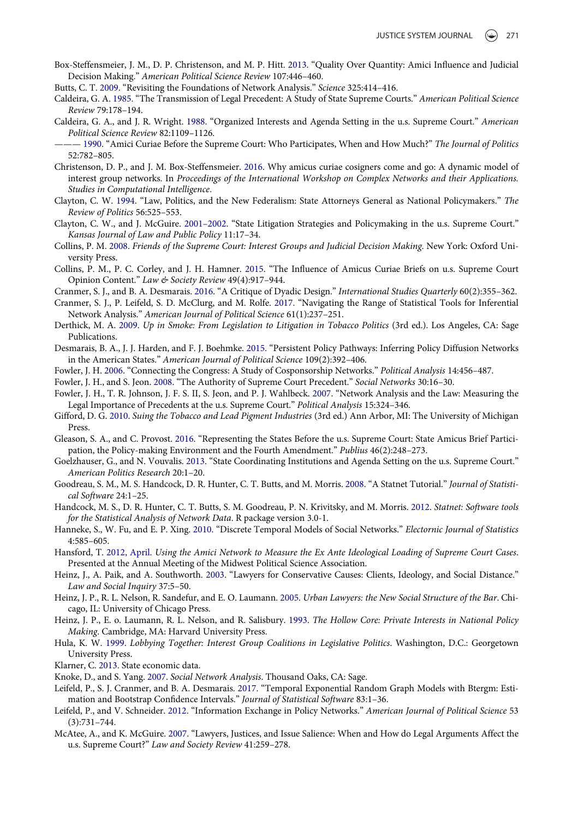- <span id="page-18-7"></span>Box-Steffensmeier, J. M., D. P. Christenson, and M. P. Hitt. [2013.](#page-1-1) "Quality Over Quantity: Amici Influence and Judicial Decision Making." American Political Science Review 107:446–460.
- <span id="page-18-29"></span>Butts, C. T. [2009](#page-9-4). "Revisiting the Foundations of Network Analysis." Science 325:414–416.
- <span id="page-18-31"></span>Caldeira, G. A. [1985](#page-12-2). "The Transmission of Legal Precedent: A Study of State Supreme Courts." American Political Science Review 79:178–194.
- <span id="page-18-4"></span>Caldeira, G. A., and J. R. Wright. [1988](#page-1-2). "Organized Interests and Agenda Setting in the u.s. Supreme Court." American Political Science Review 82:1109–1126.
- <span id="page-18-5"></span>- [1990](#page-1-2). "Amici Curiae Before the Supreme Court: Who Participates, When and How Much?" The Journal of Politics 52:782–805.
- <span id="page-18-25"></span>Christenson, D. P., and J. M. Box-Steffensmeier. [2016.](#page-8-4) Why amicus curiae cosigners come and go: A dynamic model of interest group networks. In Proceedings of the International Workshop on Complex Networks and their Applications. Studies in Computational Intelligence.
- <span id="page-18-1"></span>Clayton, C. W. [1994.](#page-1-0) "Law, Politics, and the New Federalism: State Attorneys General as National Policymakers." The Review of Politics 56:525–553.
- <span id="page-18-13"></span>Clayton, C. W., and J. McGuire. 2001–[2002](#page-2-3). "State Litigation Strategies and Policymaking in the u.s. Supreme Court." Kansas Journal of Law and Public Policy 11:17–34.
- <span id="page-18-8"></span>Collins, P. M. [2008](#page-1-1). Friends of the Supreme Court: Interest Groups and Judicial Decision Making. New York: Oxford University Press.
- <span id="page-18-6"></span>Collins, P. M., P. C. Corley, and J. H. Hamner. [2015.](#page-1-3) "The Influence of Amicus Curiae Briefs on u.s. Supreme Court Opinion Content." Law & Society Review 49(4):917–944.
- <span id="page-18-11"></span>Cranmer, S. J., and B. A. Desmarais. [2016](#page-1-4). "A Critique of Dyadic Design." International Studies Quarterly 60(2):355–362.
- <span id="page-18-26"></span>Cranmer, S. J., P. Leifeld, S. D. McClurg, and M. Rolfe. [2017.](#page-8-5) "Navigating the Range of Statistical Tools for Inferential Network Analysis." American Journal of Political Science 61(1):237–251.
- <span id="page-18-17"></span>Derthick, M. A. [2009.](#page-3-1) Up in Smoke: From Legislation to Litigation in Tobacco Politics (3rd ed.). Los Angeles, CA: Sage Publications.
- <span id="page-18-12"></span>Desmarais, B. A., J. J. Harden, and F. J. Boehmke. [2015.](#page-1-5) "Persistent Policy Pathways: Inferring Policy Diffusion Networks in the American States." American Journal of Political Science 109(2):392–406.
- <span id="page-18-16"></span>Fowler, J. H. [2006](#page-3-2). "Connecting the Congress: A Study of Cosponsorship Networks." Political Analysis 14:456–487.
- <span id="page-18-22"></span>Fowler, J. H., and S. Jeon. [2008](#page-7-2). "The Authority of Supreme Court Precedent." Social Networks 30:16–30.
- <span id="page-18-21"></span>Fowler, J. H., T. R. Johnson, J. F. S. II, S. Jeon, and P. J. Wahlbeck. [2007](#page-7-2). "Network Analysis and the Law: Measuring the Legal Importance of Precedents at the u.s. Supreme Court." Political Analysis 15:324–346.
- <span id="page-18-18"></span>Gifford, D. G. [2010.](#page-3-3) Suing the Tobacco and Lead Pigment Industries (3rd ed.) Ann Arbor, MI: The University of Michigan Press.
- <span id="page-18-20"></span>Gleason, S. A., and C. Provost. [2016](#page-3-4). "Representing the States Before the u.s. Supreme Court: State Amicus Brief Participation, the Policy-making Environment and the Fourth Amendment." Publius 46(2):248–273.
- <span id="page-18-2"></span>Goelzhauser, G., and N. Vouvalis. [2013](#page-1-6). "State Coordinating Institutions and Agenda Setting on the u.s. Supreme Court." American Politics Research 20:1–20.
- <span id="page-18-23"></span>Goodreau, S. M., M. S. Handcock, D. R. Hunter, C. T. Butts, and M. Morris. [2008](#page-7-0). "A Statnet Tutorial." Journal of Statistical Software 24:1–25.
- <span id="page-18-28"></span>Handcock, M. S., D. R. Hunter, C. T. Butts, S. M. Goodreau, P. N. Krivitsky, and M. Morris. [2012.](#page-8-6) Statnet: Software tools for the Statistical Analysis of Network Data. R package version 3.0-1.
- <span id="page-18-24"></span>Hanneke, S., W. Fu, and E. P. Xing. [2010](#page-8-7). "Discrete Temporal Models of Social Networks." Electornic Journal of Statistics 4:585–605.
- <span id="page-18-19"></span>Hansford, T. [2012, April.](#page-3-5) Using the Amici Network to Measure the Ex Ante Ideological Loading of Supreme Court Cases. Presented at the Annual Meeting of the Midwest Political Science Association.
- <span id="page-18-14"></span>Heinz, J., A. Paik, and A. Southworth. [2003](#page-2-4). "Lawyers for Conservative Causes: Clients, Ideology, and Social Distance." Law and Social Inquiry 37:5–50.
- <span id="page-18-15"></span>Heinz, J. P., R. L. Nelson, R. Sandefur, and E. O. Laumann. [2005.](#page-2-4) *Urban Lawyers: the New Social Structure of the Bar*. Chicago, IL: University of Chicago Press.
- <span id="page-18-3"></span>Heinz, J. P., E. o. Laumann, R. L. Nelson, and R. Salisbury. [1993](#page-1-7). The Hollow Core: Private Interests in National Policy Making. Cambridge, MA: Harvard University Press.
- <span id="page-18-9"></span>Hula, K. W. [1999](#page-1-1). Lobbying Together: Interest Group Coalitions in Legislative Politics. Washington, D.C.: Georgetown University Press.
- <span id="page-18-30"></span>Klarner, C. [2013](#page-12-5). State economic data.
- <span id="page-18-10"></span>Knoke, D., and S. Yang. [2007.](#page-1-8) Social Network Analysis. Thousand Oaks, CA: Sage.
- <span id="page-18-27"></span>Leifeld, P., S. J. Cranmer, and B. A. Desmarais. [2017](#page-8-5). "Temporal Exponential Random Graph Models with Btergm: Estimation and Bootstrap Confidence Intervals." Journal of Statistical Software 83:1–36.
- <span id="page-18-32"></span>Leifeld, P., and V. Schneider. [2012](#page-12-6). "Information Exchange in Policy Networks." American Journal of Political Science 53 (3):731–744.
- <span id="page-18-0"></span>McAtee, A., and K. McGuire. [2007](#page-0-2). "Lawyers, Justices, and Issue Salience: When and How do Legal Arguments Affect the u.s. Supreme Court?" Law and Society Review 41:259–278.